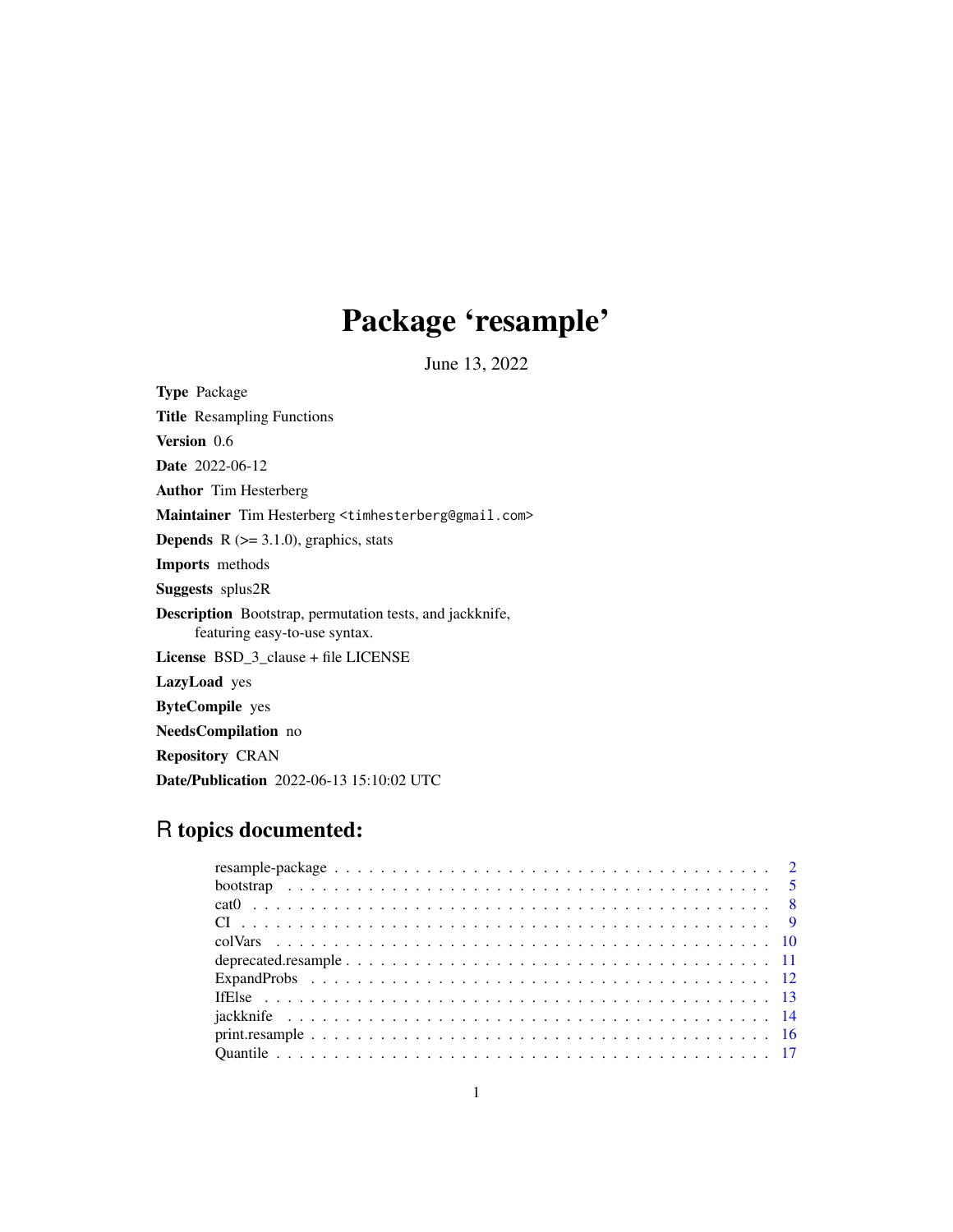# Package 'resample'

June 13, 2022

<span id="page-0-0"></span>

| <b>Type Package</b>                                                                       |
|-------------------------------------------------------------------------------------------|
| <b>Title</b> Resampling Functions                                                         |
| <b>Version</b> 0.6                                                                        |
| <b>Date</b> 2022-06-12                                                                    |
| <b>Author</b> Tim Hesterberg                                                              |
| Maintainer Tim Hesterberg <timhesterberg@gmail.com></timhesterberg@gmail.com>             |
| <b>Depends</b> $R$ ( $>=$ 3.1.0), graphics, stats                                         |
| <b>Imports</b> methods                                                                    |
| <b>Suggests</b> splus2R                                                                   |
| Description Bootstrap, permutation tests, and jackknife,<br>featuring easy-to-use syntax. |
| <b>License</b> $BSD_3$ -clause + file LICENSE                                             |
| <b>LazyLoad</b> yes                                                                       |
| <b>ByteCompile</b> yes                                                                    |
| NeedsCompilation no                                                                       |
| <b>Repository CRAN</b>                                                                    |
| <b>Date/Publication</b> 2022-06-13 15:10:02 UTC                                           |

## R topics documented: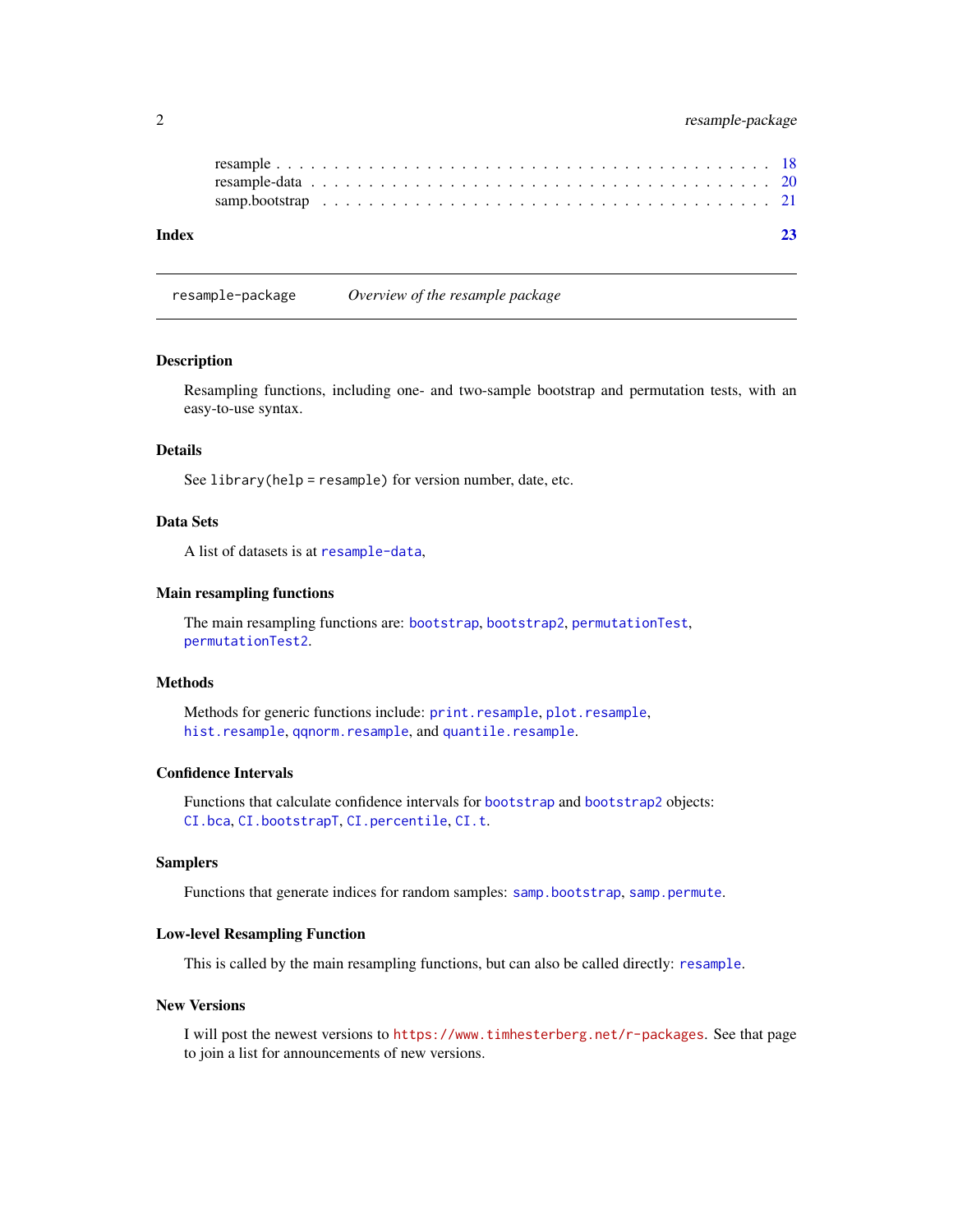#### <span id="page-1-0"></span>2 resample-package

| Index |  |  |  |  |  |  |  |  |  |  |  |  |  |  |  |  |  |
|-------|--|--|--|--|--|--|--|--|--|--|--|--|--|--|--|--|--|
|       |  |  |  |  |  |  |  |  |  |  |  |  |  |  |  |  |  |

<span id="page-1-1"></span>resample-package *Overview of the resample package*

#### Description

Resampling functions, including one- and two-sample bootstrap and permutation tests, with an easy-to-use syntax.

#### Details

See library(help = resample) for version number, date, etc.

#### Data Sets

A list of datasets is at [resample-data](#page-19-1),

#### Main resampling functions

The main resampling functions are: [bootstrap](#page-4-1), [bootstrap2](#page-4-2), [permutationTest](#page-4-2), [permutationTest2](#page-4-2).

#### Methods

Methods for generic functions include: [print.resample](#page-15-1), [plot.resample](#page-15-2), [hist.resample](#page-15-2), [qqnorm.resample](#page-15-2), and [quantile.resample](#page-15-2).

#### Confidence Intervals

Functions that calculate confidence intervals for [bootstrap](#page-4-1) and [bootstrap2](#page-4-2) objects: [CI.bca](#page-8-1), [CI.bootstrapT](#page-8-1), [CI.percentile](#page-8-1), [CI.t](#page-8-1).

#### Samplers

Functions that generate indices for random samples: [samp.bootstrap](#page-20-1), [samp.permute](#page-20-2).

#### Low-level Resampling Function

This is called by the main resampling functions, but can also be called directly: [resample](#page-17-1).

#### New Versions

I will post the newest versions to <https://www.timhesterberg.net/r-packages>. See that page to join a list for announcements of new versions.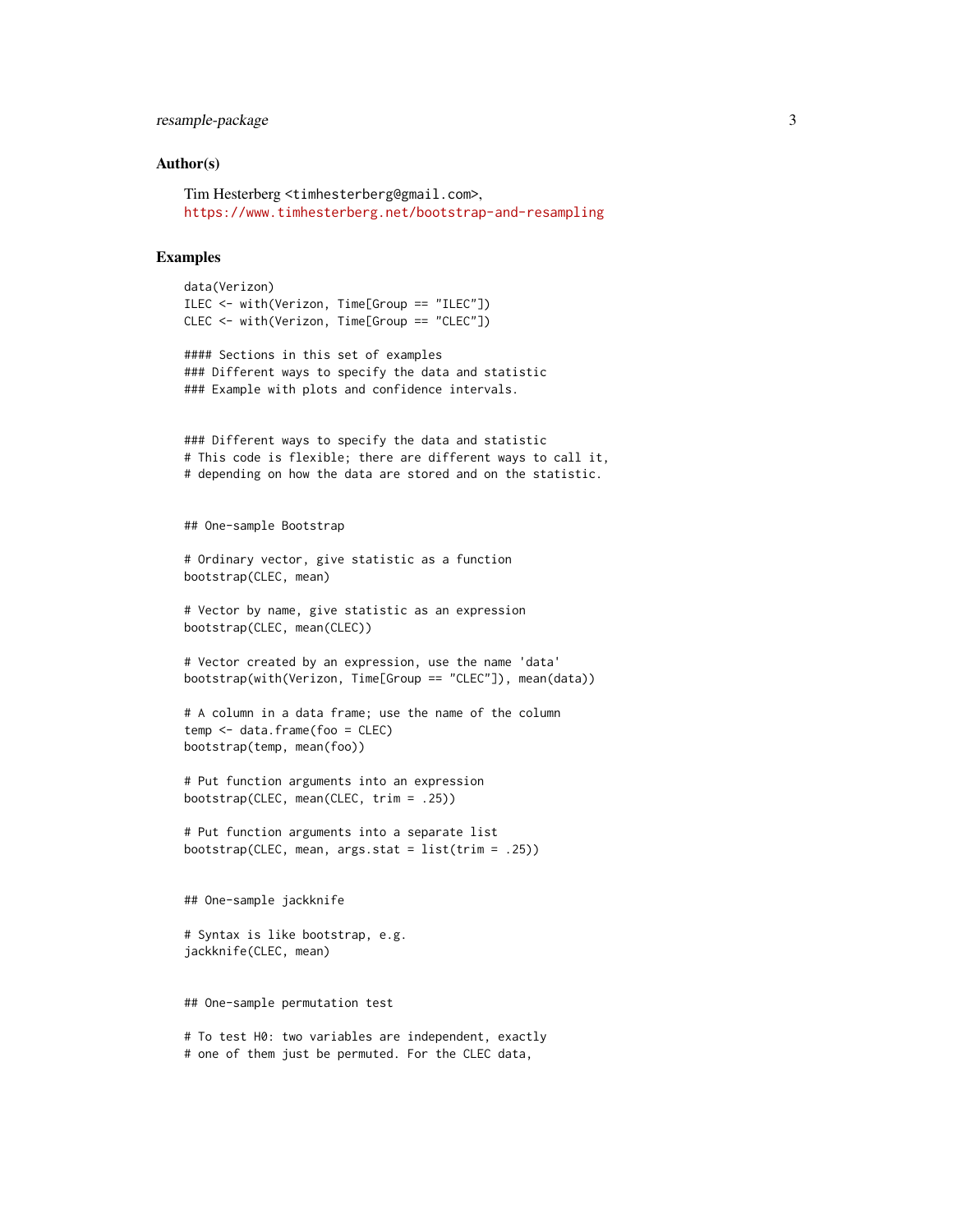#### resample-package 3

#### Author(s)

Tim Hesterberg <timhesterberg@gmail.com>, <https://www.timhesterberg.net/bootstrap-and-resampling>

#### Examples

```
data(Verizon)
ILEC <- with(Verizon, Time[Group == "ILEC"])
CLEC <- with(Verizon, Time[Group == "CLEC"])
```

```
#### Sections in this set of examples
### Different ways to specify the data and statistic
### Example with plots and confidence intervals.
```

```
### Different ways to specify the data and statistic
# This code is flexible; there are different ways to call it,
# depending on how the data are stored and on the statistic.
```
## One-sample Bootstrap

```
# Ordinary vector, give statistic as a function
bootstrap(CLEC, mean)
```

```
# Vector by name, give statistic as an expression
bootstrap(CLEC, mean(CLEC))
```

```
# Vector created by an expression, use the name 'data'
bootstrap(with(Verizon, Time[Group == "CLEC"]), mean(data))
```

```
# A column in a data frame; use the name of the column
temp <- data.frame(foo = CLEC)
bootstrap(temp, mean(foo))
```

```
# Put function arguments into an expression
bootstrap(CLEC, mean(CLEC, trim = .25))
```

```
# Put function arguments into a separate list
bootstrap(CLEC, mean, args.stat = list(trim = .25))
```
## One-sample jackknife

# Syntax is like bootstrap, e.g. jackknife(CLEC, mean)

## One-sample permutation test

# To test H0: two variables are independent, exactly # one of them just be permuted. For the CLEC data,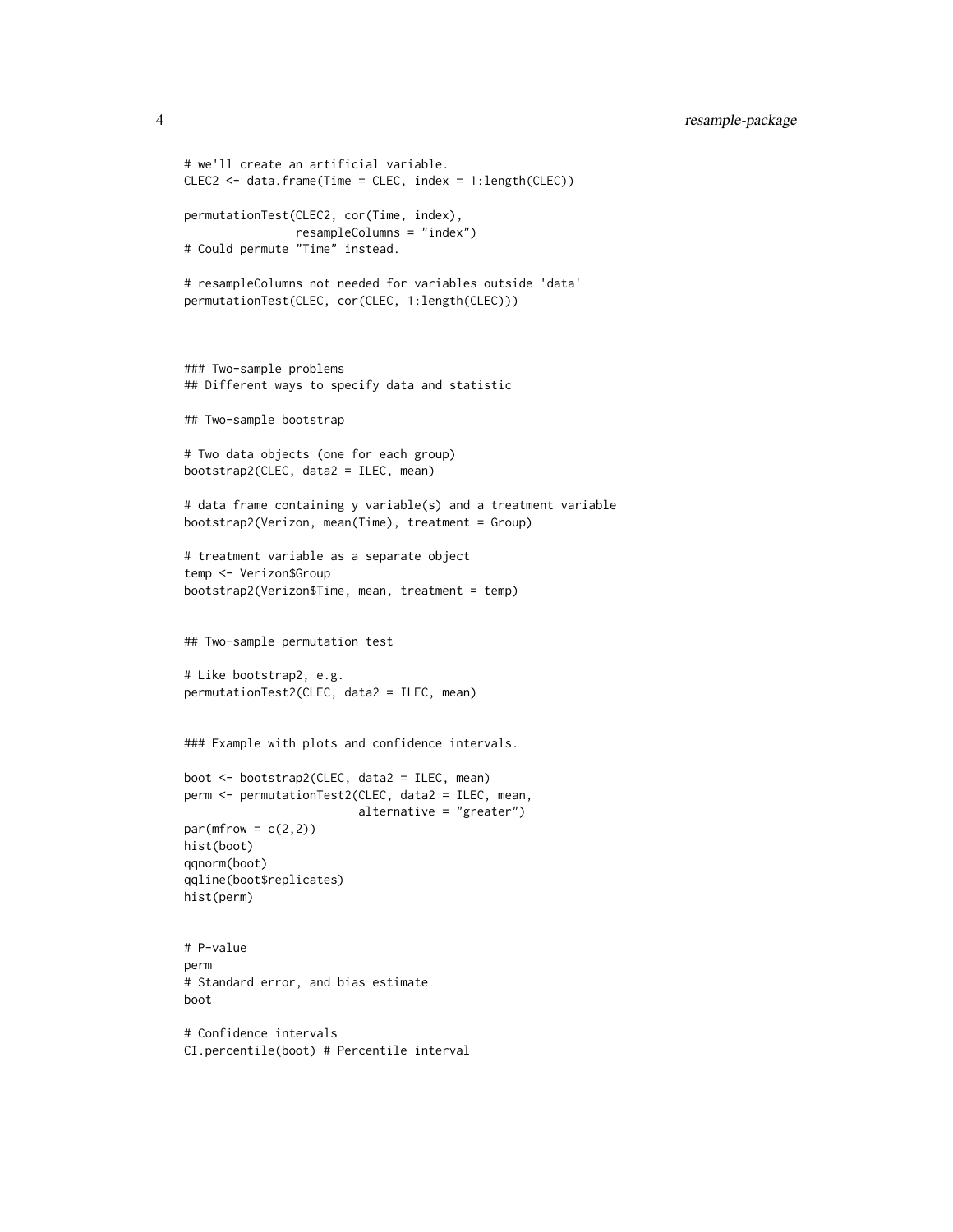```
# we'll create an artificial variable.
CLEC2 <- data.frame(Time = CLEC, index = 1:length(CLEC))
permutationTest(CLEC2, cor(Time, index),
                resampleColumns = "index")
# Could permute "Time" instead.
# resampleColumns not needed for variables outside 'data'
permutationTest(CLEC, cor(CLEC, 1:length(CLEC)))
### Two-sample problems
## Different ways to specify data and statistic
## Two-sample bootstrap
# Two data objects (one for each group)
bootstrap2(CLEC, data2 = ILEC, mean)
# data frame containing y variable(s) and a treatment variable
bootstrap2(Verizon, mean(Time), treatment = Group)
# treatment variable as a separate object
temp <- Verizon$Group
bootstrap2(Verizon$Time, mean, treatment = temp)
## Two-sample permutation test
# Like bootstrap2, e.g.
permutationTest2(CLEC, data2 = ILEC, mean)
### Example with plots and confidence intervals.
boot <- bootstrap2(CLEC, data2 = ILEC, mean)
perm <- permutationTest2(CLEC, data2 = ILEC, mean,
                         alternative = "greater")
par(mfrow = c(2,2))hist(boot)
qqnorm(boot)
qqline(boot$replicates)
hist(perm)
# P-value
perm
# Standard error, and bias estimate
boot
# Confidence intervals
```
CI.percentile(boot) # Percentile interval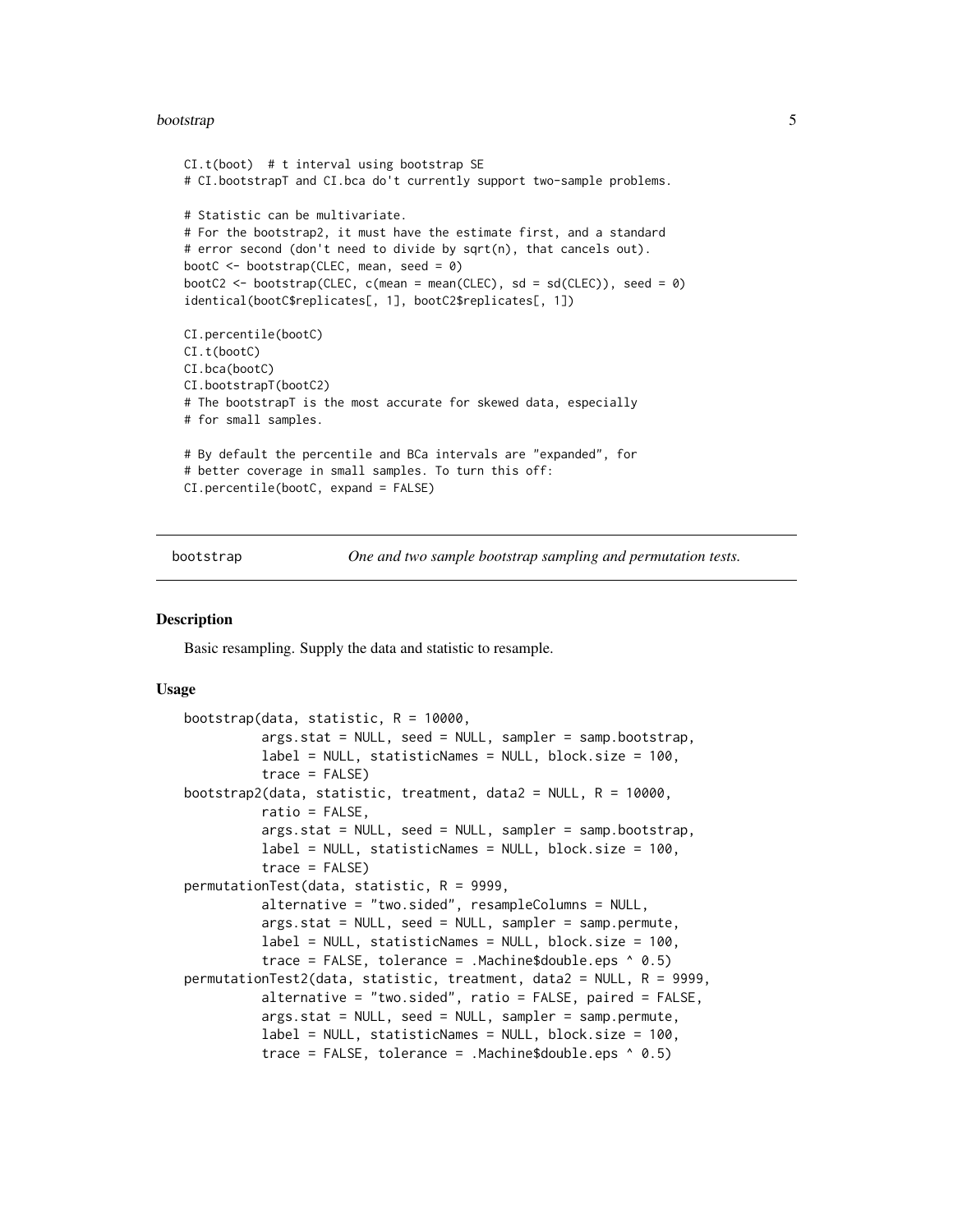#### <span id="page-4-0"></span>bootstrap 500 to 100 million to 100 million to 100 million to 100 million to 100 million to 100 million to 100

```
CI.t(boot) # t interval using bootstrap SE
# CI.bootstrapT and CI.bca do't currently support two-sample problems.
# Statistic can be multivariate.
# For the bootstrap2, it must have the estimate first, and a standard
# error second (don't need to divide by sqrt(n), that cancels out).
bootC \leq bootstrap(CLEC, mean, seed = 0)
bootC2 <- bootstrap(CLEC, c(mean = mean(CLEC), sd = sd(CLEC)), seed = 0)
identical(bootC$replicates[, 1], bootC2$replicates[, 1])
CI.percentile(bootC)
CI.t(bootC)
CI.bca(bootC)
CI.bootstrapT(bootC2)
# The bootstrapT is the most accurate for skewed data, especially
# for small samples.
# By default the percentile and BCa intervals are "expanded", for
# better coverage in small samples. To turn this off:
CI.percentile(bootC, expand = FALSE)
```
<span id="page-4-1"></span>bootstrap *One and two sample bootstrap sampling and permutation tests.*

#### <span id="page-4-2"></span>**Description**

Basic resampling. Supply the data and statistic to resample.

#### Usage

```
bootstrap(data, statistic, R = 10000,
          args.stat = NULL, seed = NULL, sampler = samp.bootstrap,
          label = NULL, statisticNames = NULL, block.size = 100,
          trace = FALSE)bootstrap2(data, statistic, treatment, data2 = NULL, R = 10000,
          ratio = FALSE,
          args.stat = NULL, seed = NULL, sampler = samp.bootstrap,
          label = NULL, statisticNames = NULL, block.size = 100,trace = FALSE)permutationTest(data, statistic, R = 9999,
          alternative = "two.sided", resampleColumns = NULL,
          args.stat = NULL, seed = NULL, sampler = samp.permute,
          label = NULL, statisticNames = NULL, block.size = 100,
          trace = FALSE, tolerance = Machine$double.eps (0.5)permutationTest2(data, statistic, treatment, data2 = NULL, R = 9999,
          alternative = "two.sided", ratio = FALSE, paired = FALSE,
          args.stat = NULL, seed = NULL, sampler = samp.permute,
          label = NULL, statisticNames = NULL, block.size = 100,
          trace = FALSE, tolerance = .Machine$double.eps ^ 0.5)
```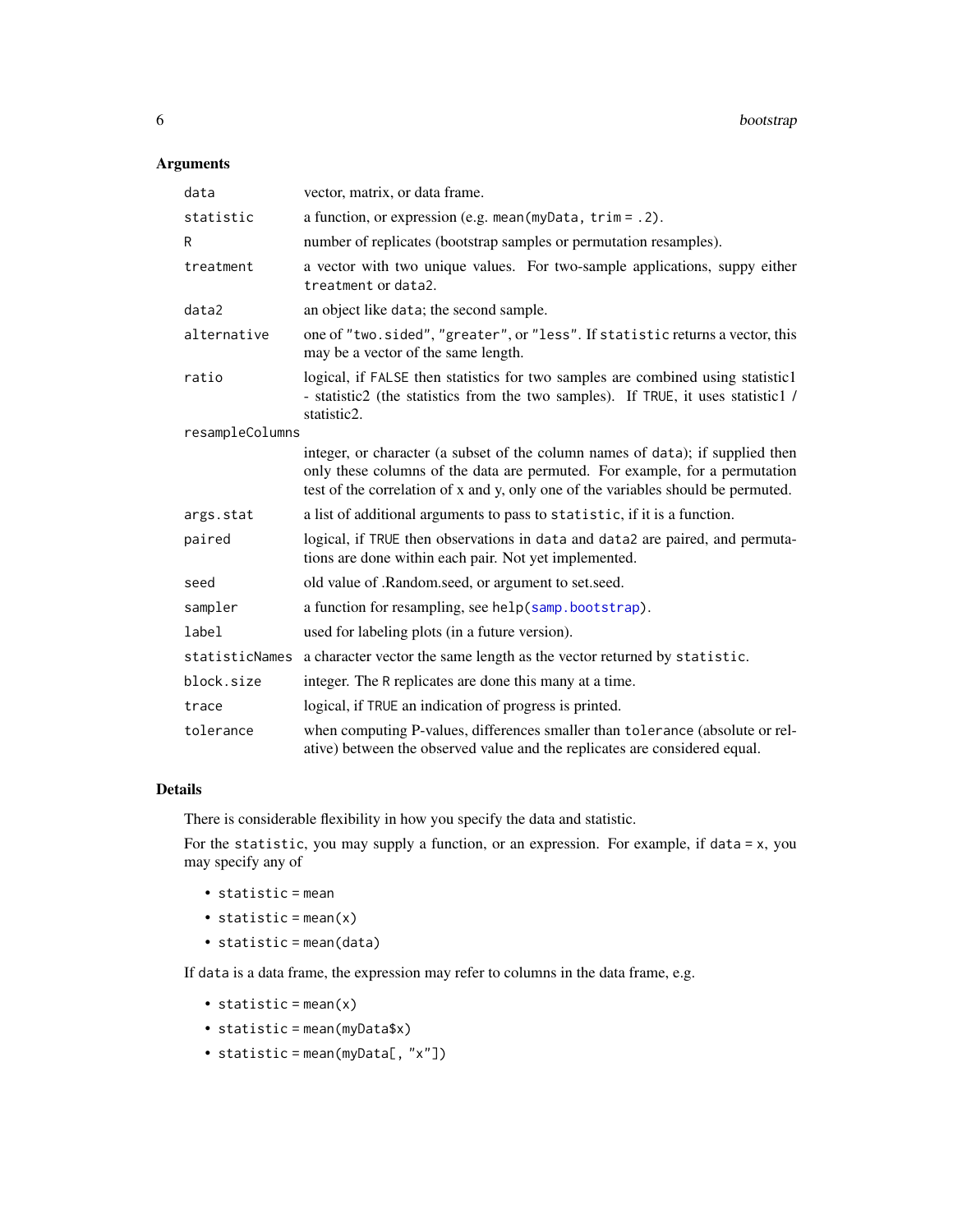#### <span id="page-5-0"></span>Arguments

| data            | vector, matrix, or data frame.                                                                                                                                                                                                                     |
|-----------------|----------------------------------------------------------------------------------------------------------------------------------------------------------------------------------------------------------------------------------------------------|
| statistic       | a function, or expression (e.g. mean $(myData, trim = .2)$ .                                                                                                                                                                                       |
| R               | number of replicates (bootstrap samples or permutation resamples).                                                                                                                                                                                 |
| treatment       | a vector with two unique values. For two-sample applications, suppy either<br>treatment or data2.                                                                                                                                                  |
| data2           | an object like data; the second sample.                                                                                                                                                                                                            |
| alternative     | one of "two.sided", "greater", or "less". If statistic returns a vector, this<br>may be a vector of the same length.                                                                                                                               |
| ratio           | logical, if FALSE then statistics for two samples are combined using statistic1<br>- statistic2 (the statistics from the two samples). If TRUE, it uses statistic1 /<br>statistic2.                                                                |
| resampleColumns |                                                                                                                                                                                                                                                    |
|                 | integer, or character (a subset of the column names of data); if supplied then<br>only these columns of the data are permuted. For example, for a permutation<br>test of the correlation of x and y, only one of the variables should be permuted. |
| args.stat       | a list of additional arguments to pass to statistic, if it is a function.                                                                                                                                                                          |
| paired          | logical, if TRUE then observations in data and data2 are paired, and permuta-<br>tions are done within each pair. Not yet implemented.                                                                                                             |
| seed            | old value of .Random.seed, or argument to set.seed.                                                                                                                                                                                                |
| sampler         | a function for resampling, see help(samp.bootstrap).                                                                                                                                                                                               |
| label           | used for labeling plots (in a future version).                                                                                                                                                                                                     |
| statisticNames  | a character vector the same length as the vector returned by statistic.                                                                                                                                                                            |
| block.size      | integer. The R replicates are done this many at a time.                                                                                                                                                                                            |
| trace           | logical, if TRUE an indication of progress is printed.                                                                                                                                                                                             |
| tolerance       | when computing P-values, differences smaller than tolerance (absolute or rel-<br>ative) between the observed value and the replicates are considered equal.                                                                                        |

#### Details

There is considerable flexibility in how you specify the data and statistic.

For the statistic, you may supply a function, or an expression. For example, if data = x, you may specify any of

- statistic = mean
- statistic = mean(x)
- statistic = mean(data)

If data is a data frame, the expression may refer to columns in the data frame, e.g.

- statistic =  $mean(x)$
- statistic = mean(myData\$x)
- statistic = mean(myData[, "x"])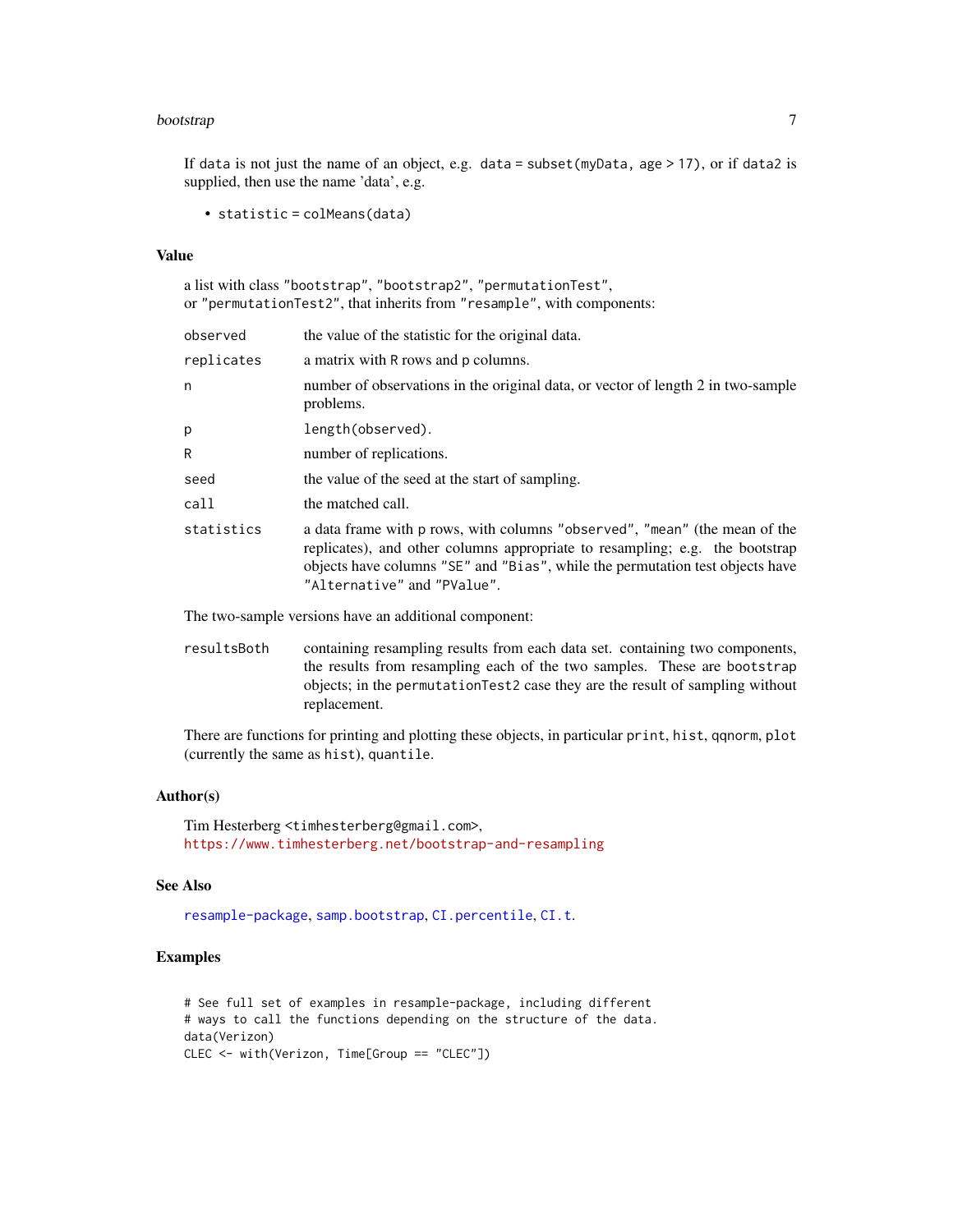#### <span id="page-6-0"></span>bootstrap *7*

If data is not just the name of an object, e.g. data = subset(myData, age  $> 17$ ), or if data2 is supplied, then use the name 'data', e.g.

• statistic = colMeans(data)

#### Value

a list with class "bootstrap", "bootstrap2", "permutationTest", or "permutationTest2", that inherits from "resample", with components:

| the value of the statistic for the original data.                                                                                                                                                                                                                          |
|----------------------------------------------------------------------------------------------------------------------------------------------------------------------------------------------------------------------------------------------------------------------------|
| a matrix with R rows and p columns.                                                                                                                                                                                                                                        |
| number of observations in the original data, or vector of length 2 in two-sample<br>problems.                                                                                                                                                                              |
| length(observed).                                                                                                                                                                                                                                                          |
| number of replications.                                                                                                                                                                                                                                                    |
| the value of the seed at the start of sampling.                                                                                                                                                                                                                            |
| the matched call.                                                                                                                                                                                                                                                          |
| a data frame with p rows, with columns "observed", "mean" (the mean of the<br>replicates), and other columns appropriate to resampling; e.g. the bootstrap<br>objects have columns "SE" and "Bias", while the permutation test objects have<br>"Alternative" and "PValue". |
|                                                                                                                                                                                                                                                                            |

The two-sample versions have an additional component:

resultsBoth containing resampling results from each data set. containing two components, the results from resampling each of the two samples. These are bootstrap objects; in the permutationTest2 case they are the result of sampling without replacement.

There are functions for printing and plotting these objects, in particular print, hist, qqnorm, plot (currently the same as hist), quantile.

#### Author(s)

Tim Hesterberg <timhesterberg@gmail.com>, <https://www.timhesterberg.net/bootstrap-and-resampling>

#### See Also

[resample-package](#page-1-1), [samp.bootstrap](#page-20-1), [CI.percentile](#page-8-1), [CI.t](#page-8-1).

#### Examples

```
# See full set of examples in resample-package, including different
# ways to call the functions depending on the structure of the data.
data(Verizon)
CLEC <- with(Verizon, Time[Group == "CLEC"])
```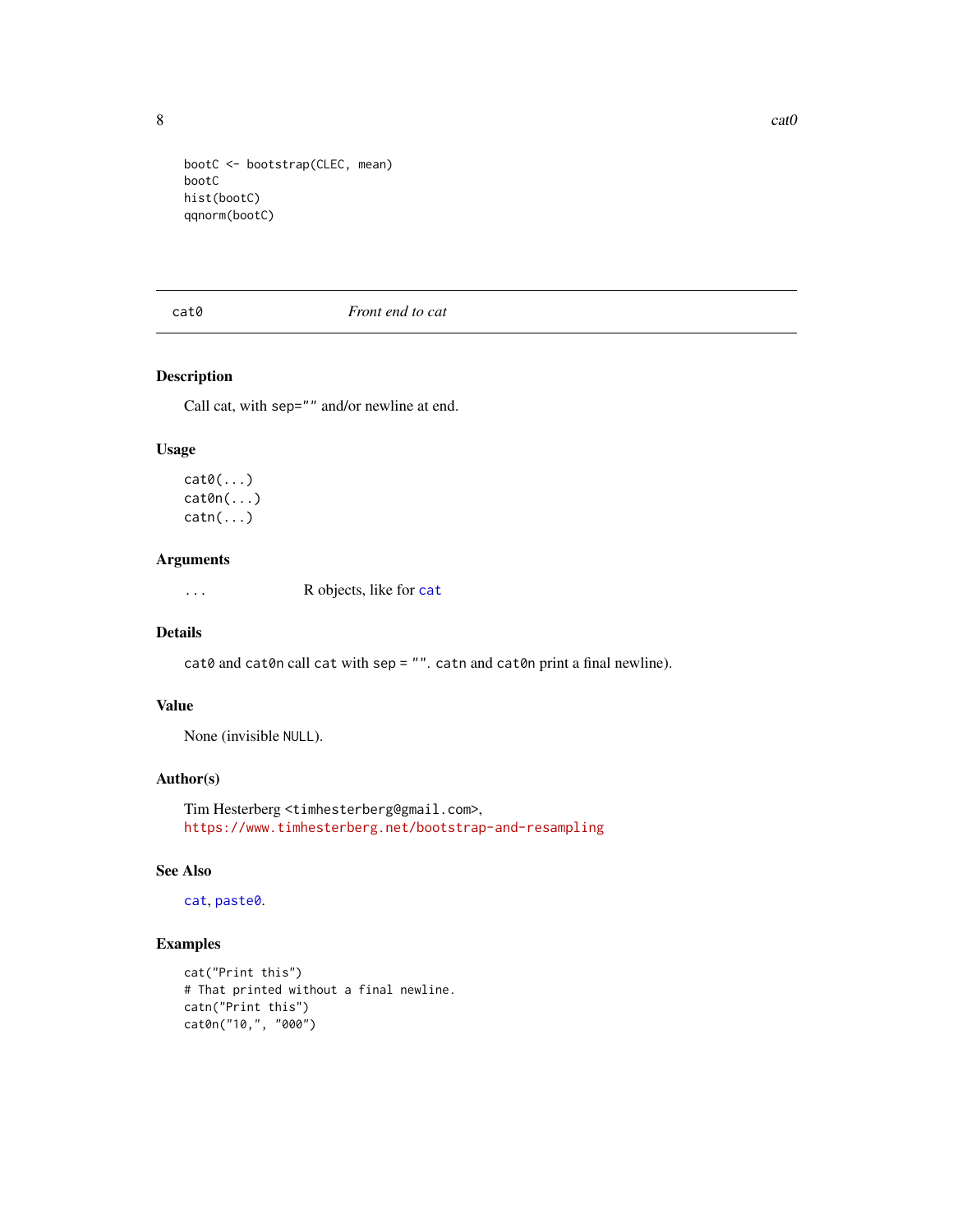<span id="page-7-0"></span>

```
bootC <- bootstrap(CLEC, mean)
bootC
hist(bootC)
qqnorm(bootC)
```
cat0 *Front end to cat*

### Description

Call cat, with sep="" and/or newline at end.

#### Usage

 $cat0(...)$ cat0n(...)  $\text{catn}(\ldots)$ 

#### Arguments

... R objects, like for [cat](#page-0-0)

#### Details

 $cat0$  and  $cat0n$  call  $cat$  with sep = "". catn and  $cat0n$  print a final newline).

#### Value

None (invisible NULL).

#### Author(s)

Tim Hesterberg <timhesterberg@gmail.com>, <https://www.timhesterberg.net/bootstrap-and-resampling>

#### See Also

[cat](#page-0-0), [paste0](#page-0-0).

#### Examples

```
cat("Print this")
# That printed without a final newline.
catn("Print this")
cat0n("10,", "000")
```
 $8$  cat $0$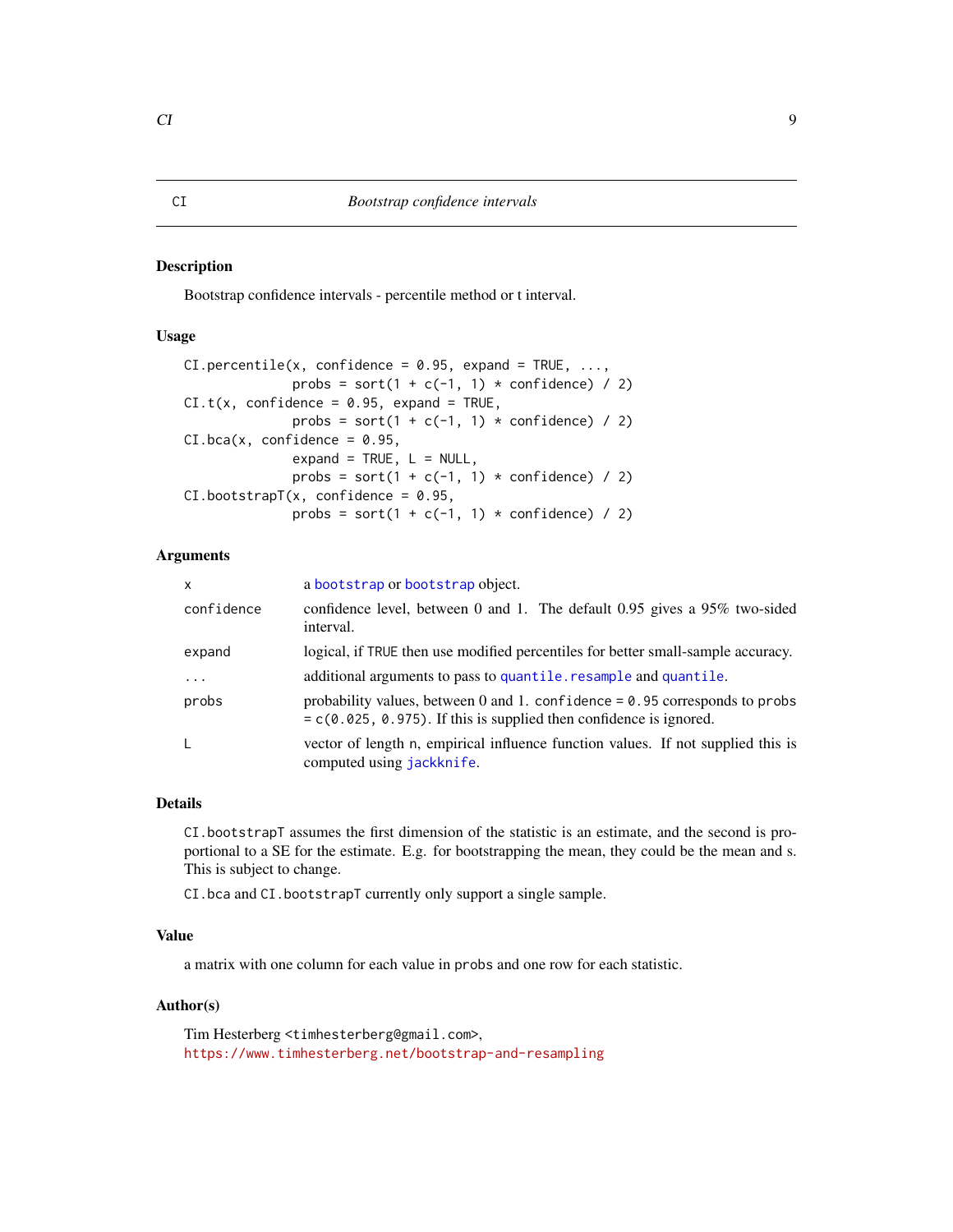#### <span id="page-8-1"></span><span id="page-8-0"></span>Description

Bootstrap confidence intervals - percentile method or t interval.

#### Usage

```
CI.percentile(x, confidence = 0.95, expand = TRUE, ...,probs = sort(1 + c(-1, 1) * confidence) / 2)
CL.t(x, confidence = 0.95, expand = TRUE,probs = sort(1 + c(-1, 1) * confidence) / 2)
CI.\text{bca}(x, \text{ confidence} = 0.95,expand = TRUE, L = NULL,
              probs = sort(1 + c(-1, 1) * confidence) / 2)CI. bootstrapT(x, confidence = 0.95,probs = sort(1 + c(-1, 1) * confidence) / 2)
```
#### Arguments

| $\mathsf{x}$ | a bootstrap or bootstrap object.                                                                                                                       |
|--------------|--------------------------------------------------------------------------------------------------------------------------------------------------------|
| confidence   | confidence level, between 0 and 1. The default 0.95 gives a 95% two-sided<br>interval.                                                                 |
| expand       | logical, if TRUE then use modified percentiles for better small-sample accuracy.                                                                       |
| $\cdots$     | additional arguments to pass to quantile. resample and quantile.                                                                                       |
| probs        | probability values, between 0 and 1. confidence = $0.95$ corresponds to probs<br>$= c(0.025, 0.975)$ . If this is supplied then confidence is ignored. |
| L            | vector of length n, empirical influence function values. If not supplied this is<br>computed using jackknife.                                          |

#### Details

CI.bootstrapT assumes the first dimension of the statistic is an estimate, and the second is proportional to a SE for the estimate. E.g. for bootstrapping the mean, they could be the mean and s. This is subject to change.

CI.bca and CI.bootstrapT currently only support a single sample.

#### Value

a matrix with one column for each value in probs and one row for each statistic.

#### Author(s)

Tim Hesterberg <timhesterberg@gmail.com>, <https://www.timhesterberg.net/bootstrap-and-resampling>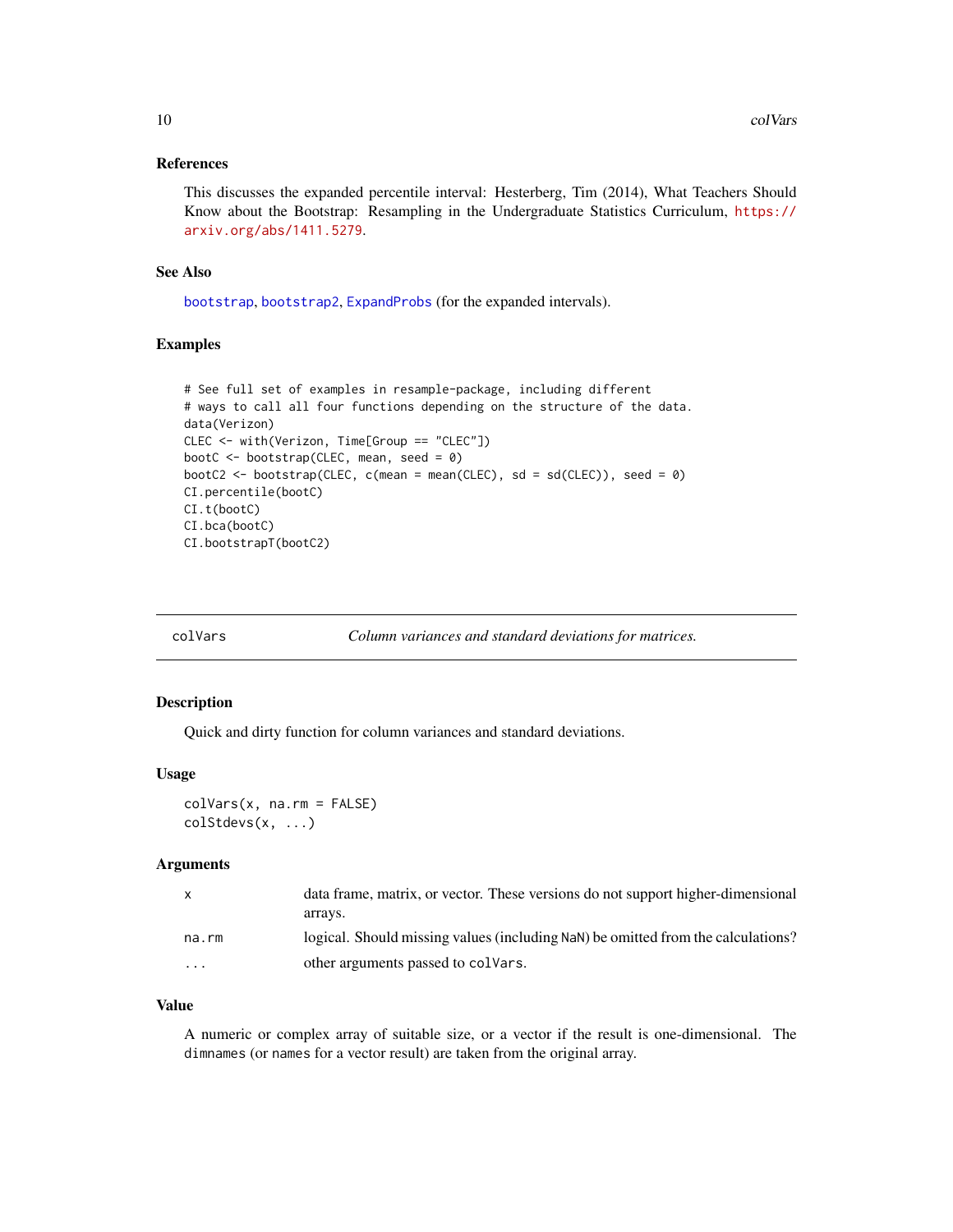#### <span id="page-9-0"></span>References

This discusses the expanded percentile interval: Hesterberg, Tim (2014), What Teachers Should Know about the Bootstrap: Resampling in the Undergraduate Statistics Curriculum, [https://](https://arxiv.org/abs/1411.5279) [arxiv.org/abs/1411.5279](https://arxiv.org/abs/1411.5279).

#### See Also

[bootstrap](#page-4-1), [bootstrap2](#page-4-2), [ExpandProbs](#page-11-1) (for the expanded intervals).

#### Examples

```
# See full set of examples in resample-package, including different
# ways to call all four functions depending on the structure of the data.
data(Verizon)
CLEC <- with(Verizon, Time[Group == "CLEC"])
bootC <- bootstrap(CLEC, mean, seed = 0)
bootC2 <- bootstrap(CLEC, c(mean = mean(CLEC), sd = sd(CLEC)), seed = 0)
CI.percentile(bootC)
CI.t(bootC)
CI.bca(bootC)
CI.bootstrapT(bootC2)
```

| colVars | Column variances and standard deviations for matrices. |  |
|---------|--------------------------------------------------------|--|
|         |                                                        |  |

#### Description

Quick and dirty function for column variances and standard deviations.

#### Usage

```
colVars(x, na.rm = FALSE)
colStdevs(x, ...)
```
#### Arguments

| X        | data frame, matrix, or vector. These versions do not support higher-dimensional  |
|----------|----------------------------------------------------------------------------------|
|          | arrays.                                                                          |
| na.rm    | logical. Should missing values (including NaN) be omitted from the calculations? |
| $\cdots$ | other arguments passed to colvars.                                               |

#### Value

A numeric or complex array of suitable size, or a vector if the result is one-dimensional. The dimnames (or names for a vector result) are taken from the original array.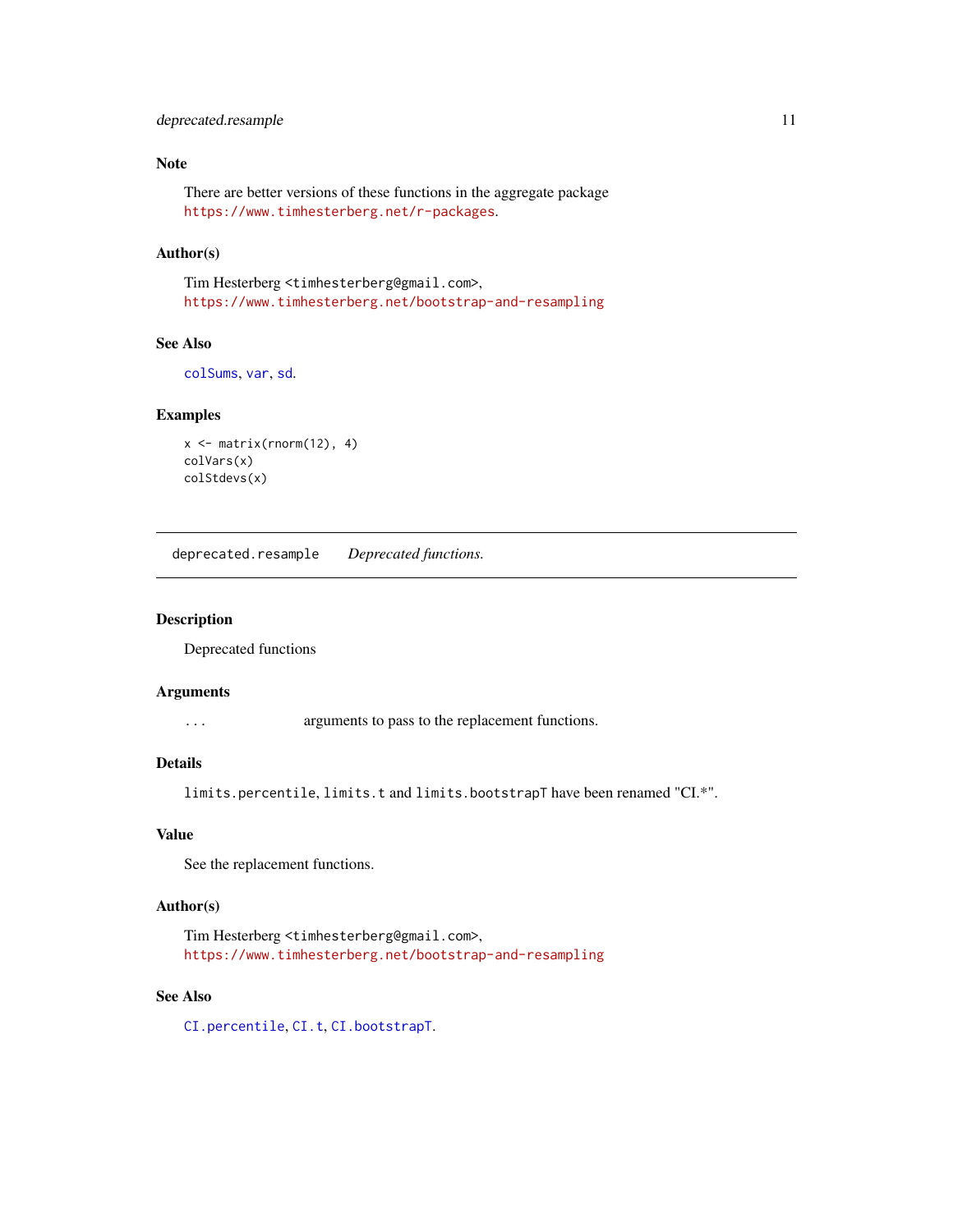#### <span id="page-10-0"></span>deprecated.resample 11

#### Note

There are better versions of these functions in the aggregate package <https://www.timhesterberg.net/r-packages>.

#### Author(s)

Tim Hesterberg <timhesterberg@gmail.com>, <https://www.timhesterberg.net/bootstrap-and-resampling>

### See Also

[colSums](#page-0-0), [var](#page-0-0), [sd](#page-0-0).

#### Examples

```
x \le - matrix(rnorm(12), 4)
colVars(x)
colStdevs(x)
```
deprecated.resample *Deprecated functions.*

#### Description

Deprecated functions

#### Arguments

... arguments to pass to the replacement functions.

#### Details

limits.percentile, limits.t and limits.bootstrapT have been renamed "CI.\*".

#### Value

See the replacement functions.

#### Author(s)

Tim Hesterberg <timhesterberg@gmail.com>, <https://www.timhesterberg.net/bootstrap-and-resampling>

#### See Also

[CI.percentile](#page-8-1), [CI.t](#page-8-1), [CI.bootstrapT](#page-8-1).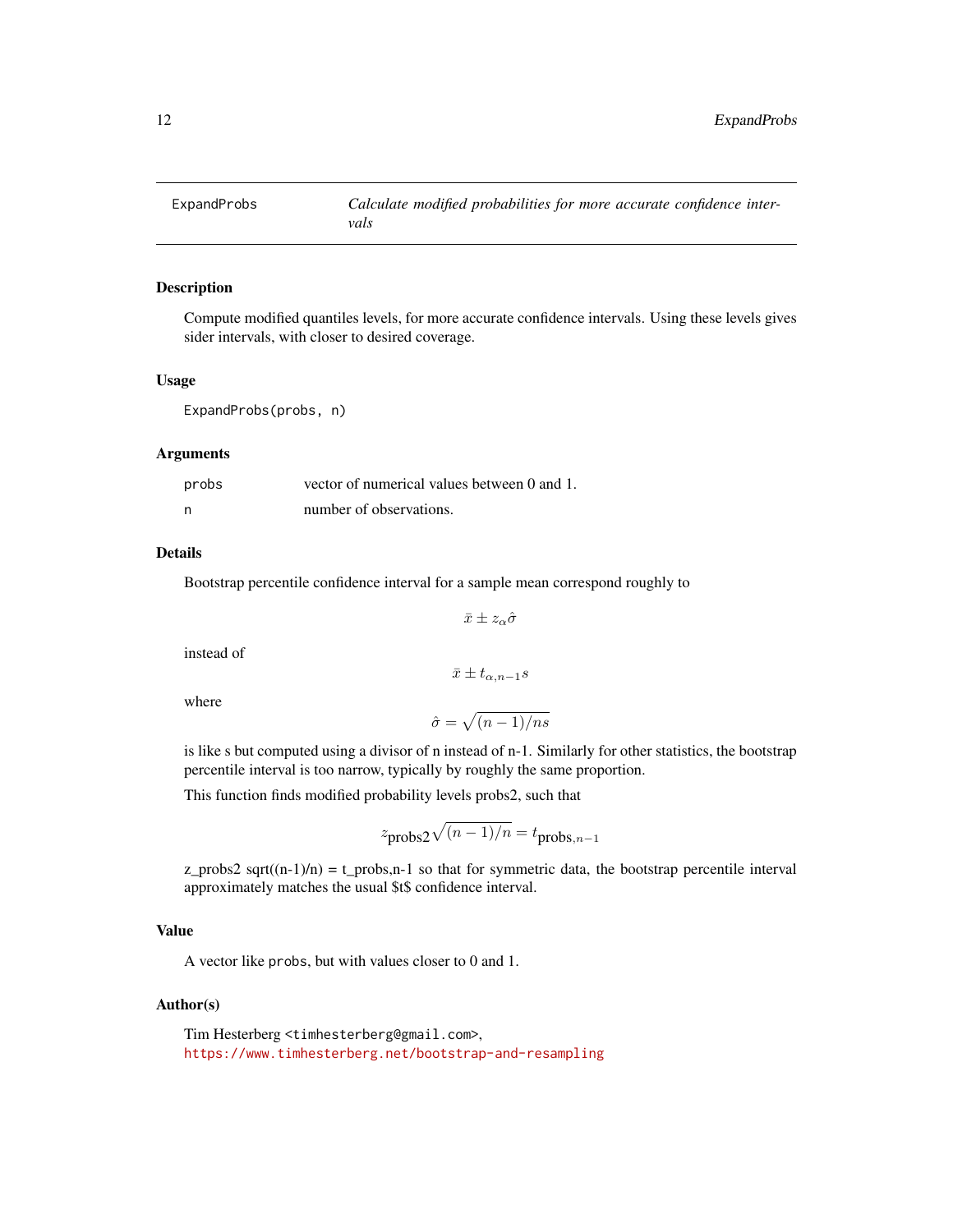<span id="page-11-1"></span><span id="page-11-0"></span>

#### Description

Compute modified quantiles levels, for more accurate confidence intervals. Using these levels gives sider intervals, with closer to desired coverage.

#### Usage

ExpandProbs(probs, n)

#### Arguments

| probs | vector of numerical values between 0 and 1. |
|-------|---------------------------------------------|
| - n   | number of observations.                     |

#### Details

Bootstrap percentile confidence interval for a sample mean correspond roughly to

$$
\bar{x}\pm z_\alpha\hat{\sigma}
$$

instead of

$$
\bar{x} \pm t_{\alpha, n-1} s
$$

where

$$
\hat{\sigma} = \sqrt{(n-1)/ns}
$$

is like s but computed using a divisor of n instead of n-1. Similarly for other statistics, the bootstrap percentile interval is too narrow, typically by roughly the same proportion.

This function finds modified probability levels probs2, such that

$$
z_{\text{probs2}}\sqrt{(n-1)/n} = t_{\text{probs},n-1}
$$

z\_probs2 sqrt( $(n-1)/n$ ) = t\_probs,n-1 so that for symmetric data, the bootstrap percentile interval approximately matches the usual \$t\$ confidence interval.

#### Value

A vector like probs, but with values closer to 0 and 1.

#### Author(s)

Tim Hesterberg <timhesterberg@gmail.com>, <https://www.timhesterberg.net/bootstrap-and-resampling>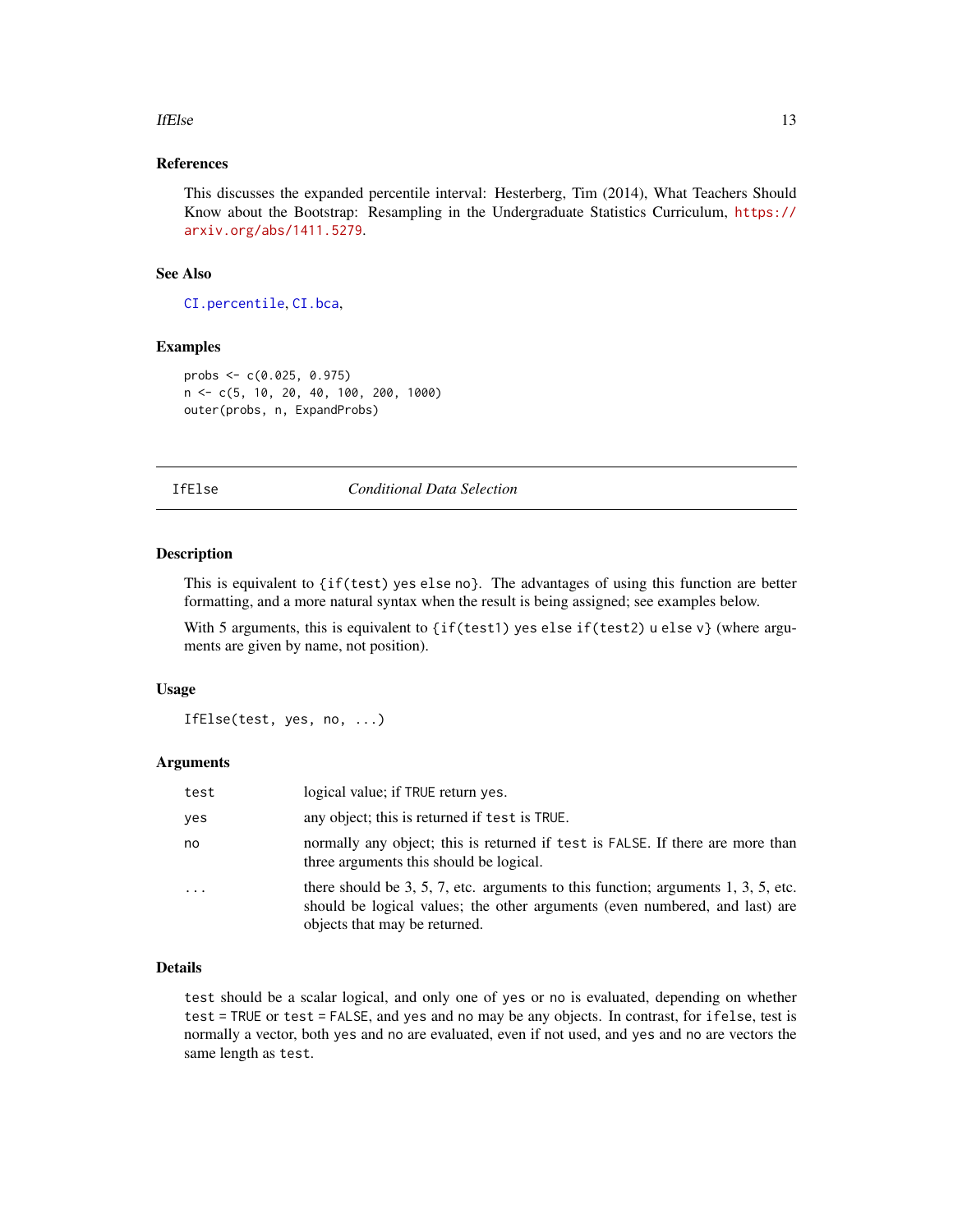#### <span id="page-12-0"></span>If Else  $\qquad \qquad$  13

#### References

This discusses the expanded percentile interval: Hesterberg, Tim (2014), What Teachers Should Know about the Bootstrap: Resampling in the Undergraduate Statistics Curriculum, [https://](https://arxiv.org/abs/1411.5279) [arxiv.org/abs/1411.5279](https://arxiv.org/abs/1411.5279).

#### See Also

[CI.percentile](#page-8-1), [CI.bca](#page-8-1),

#### Examples

probs <- c(0.025, 0.975) n <- c(5, 10, 20, 40, 100, 200, 1000) outer(probs, n, ExpandProbs)

IfElse *Conditional Data Selection*

#### Description

This is equivalent to {if(test) yes else no}. The advantages of using this function are better formatting, and a more natural syntax when the result is being assigned; see examples below.

With 5 arguments, this is equivalent to  $\{if(test1)$  yes else if(test2) u else v} (where arguments are given by name, not position).

#### Usage

IfElse(test, yes, no, ...)

#### Arguments

| test | logical value; if TRUE return yes.                                                                                                                                                                |
|------|---------------------------------------------------------------------------------------------------------------------------------------------------------------------------------------------------|
| ves  | any object; this is returned if test is TRUE.                                                                                                                                                     |
| no   | normally any object; this is returned if test is FALSE. If there are more than<br>three arguments this should be logical.                                                                         |
| .    | there should be 3, 5, 7, etc. arguments to this function; arguments 1, 3, 5, etc.<br>should be logical values; the other arguments (even numbered, and last) are<br>objects that may be returned. |

#### Details

test should be a scalar logical, and only one of yes or no is evaluated, depending on whether test = TRUE or test = FALSE, and yes and no may be any objects. In contrast, for ifelse, test is normally a vector, both yes and no are evaluated, even if not used, and yes and no are vectors the same length as test.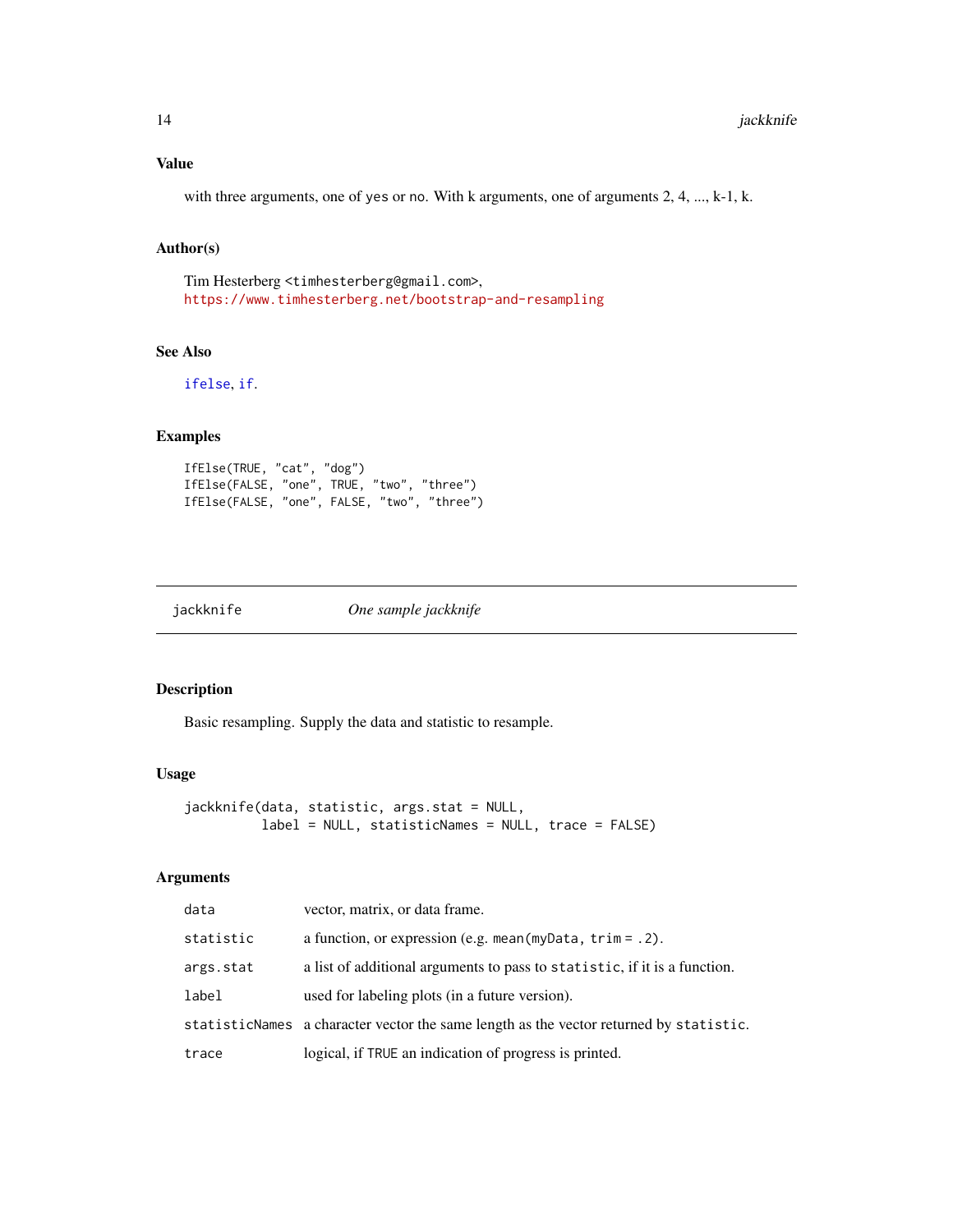#### <span id="page-13-0"></span>Value

with three arguments, one of yes or no. With k arguments, one of arguments 2, 4, ..., k-1, k.

#### Author(s)

Tim Hesterberg <timhesterberg@gmail.com>, <https://www.timhesterberg.net/bootstrap-and-resampling>

### See Also

[ifelse](#page-0-0), [if](#page-0-0).

#### Examples

```
IfElse(TRUE, "cat", "dog")
IfElse(FALSE, "one", TRUE, "two", "three")
IfElse(FALSE, "one", FALSE, "two", "three")
```
<span id="page-13-1"></span>jackknife *One sample jackknife*

#### Description

Basic resampling. Supply the data and statistic to resample.

#### Usage

```
jackknife(data, statistic, args.stat = NULL,
         label = NULL, statisticNames = NULL, trace = FALSE)
```
#### Arguments

| data      | vector, matrix, or data frame.                                                         |
|-----------|----------------------------------------------------------------------------------------|
| statistic | a function, or expression (e.g. mean (my Data, $\text{trim} = .2$ ).                   |
| args.stat | a list of additional arguments to pass to statistic, if it is a function.              |
| label     | used for labeling plots (in a future version).                                         |
|           | statisticNames a character vector the same length as the vector returned by statistic. |
| trace     | logical, if TRUE an indication of progress is printed.                                 |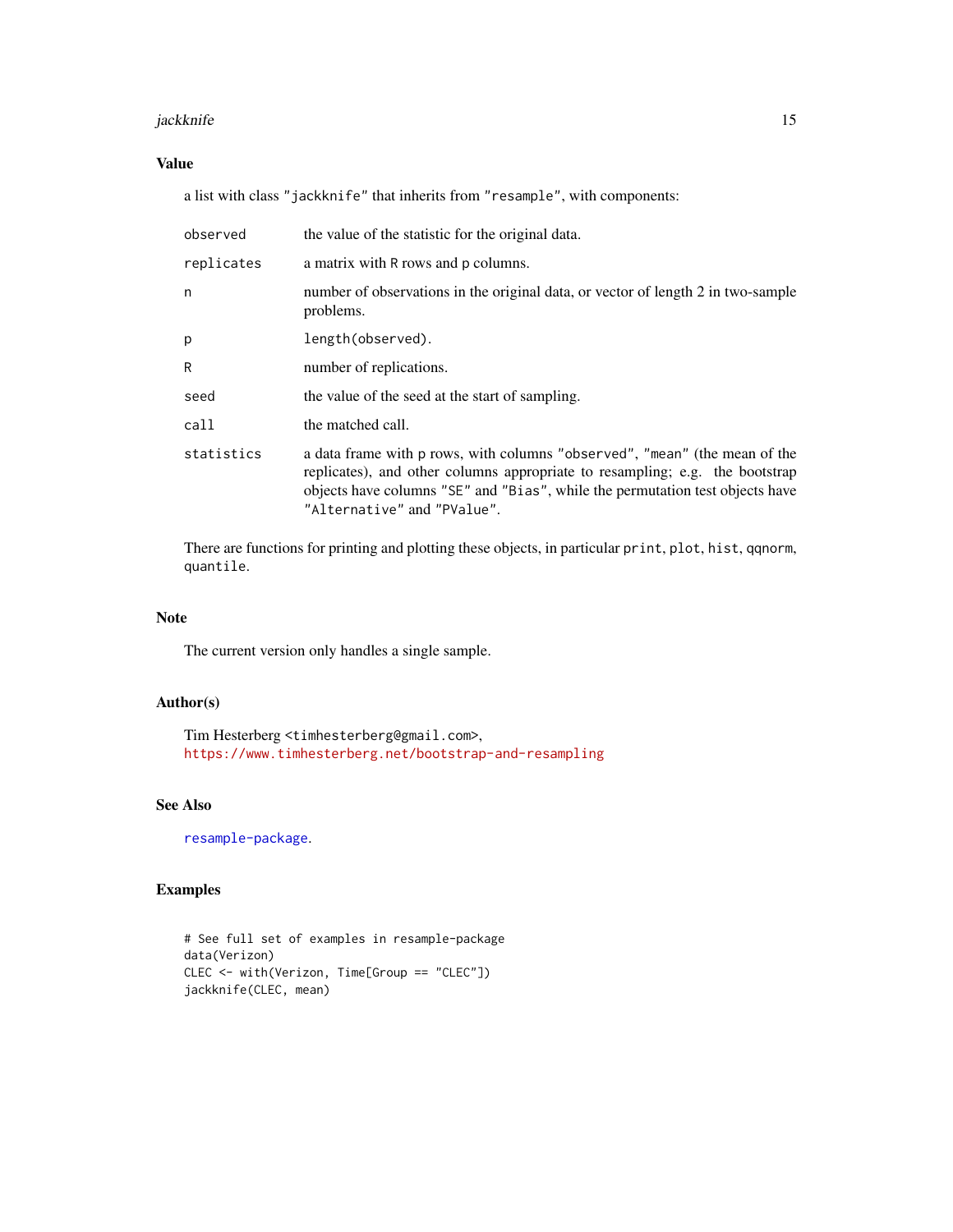#### jackknife 15

#### Value

a list with class "jackknife" that inherits from "resample", with components:

| observed   | the value of the statistic for the original data.                                                                                                                                                                                                                          |
|------------|----------------------------------------------------------------------------------------------------------------------------------------------------------------------------------------------------------------------------------------------------------------------------|
| replicates | a matrix with R rows and p columns.                                                                                                                                                                                                                                        |
| n          | number of observations in the original data, or vector of length 2 in two-sample<br>problems.                                                                                                                                                                              |
| p          | length(observed).                                                                                                                                                                                                                                                          |
| R          | number of replications.                                                                                                                                                                                                                                                    |
| seed       | the value of the seed at the start of sampling.                                                                                                                                                                                                                            |
| call       | the matched call.                                                                                                                                                                                                                                                          |
| statistics | a data frame with p rows, with columns "observed", "mean" (the mean of the<br>replicates), and other columns appropriate to resampling; e.g. the bootstrap<br>objects have columns "SE" and "Bias", while the permutation test objects have<br>"Alternative" and "PValue". |

There are functions for printing and plotting these objects, in particular print, plot, hist, qqnorm, quantile.

#### Note

The current version only handles a single sample.

#### Author(s)

Tim Hesterberg <timhesterberg@gmail.com>, <https://www.timhesterberg.net/bootstrap-and-resampling>

#### See Also

[resample-package](#page-1-1).

#### Examples

```
# See full set of examples in resample-package
data(Verizon)
CLEC <- with(Verizon, Time[Group == "CLEC"])
jackknife(CLEC, mean)
```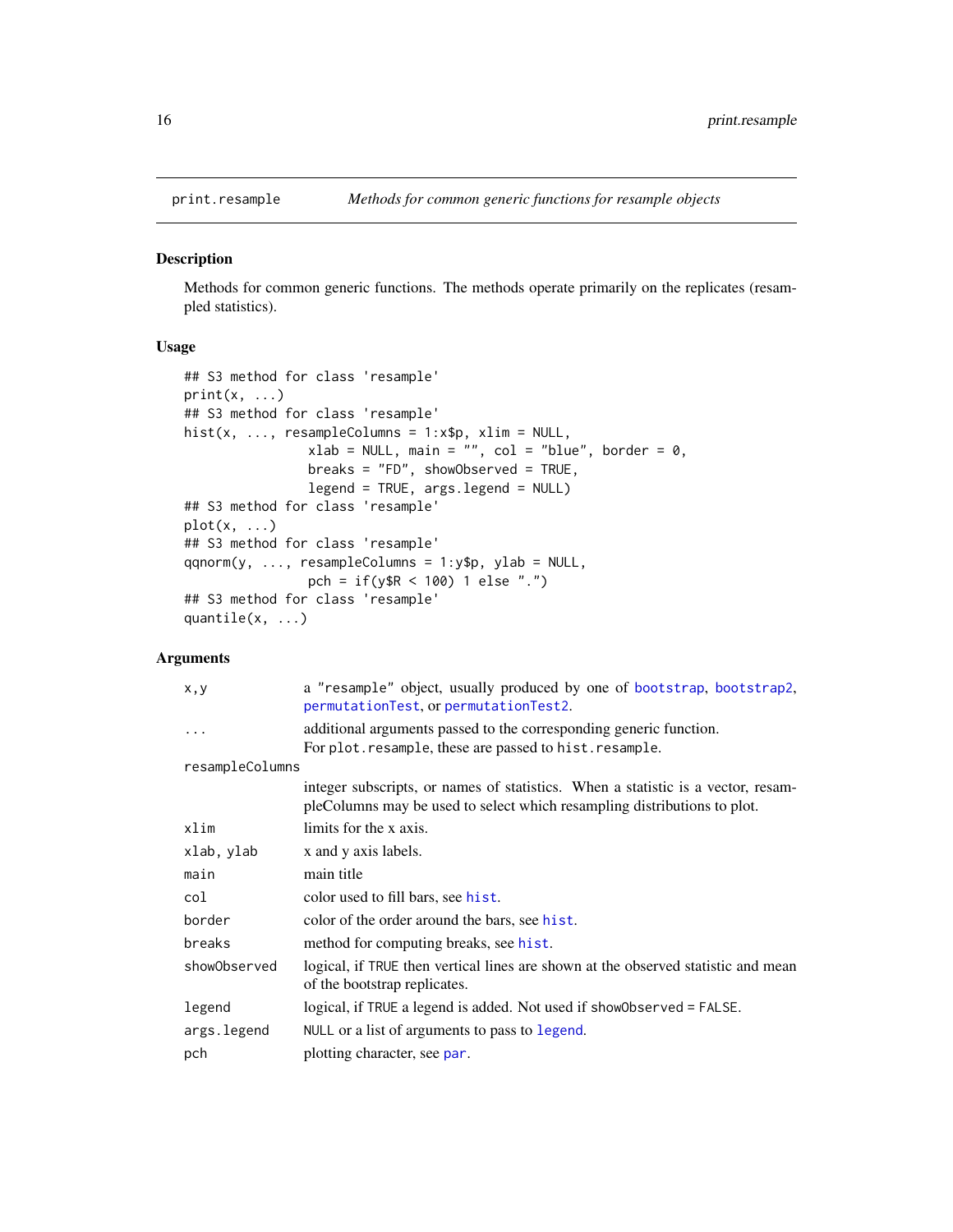<span id="page-15-1"></span><span id="page-15-0"></span>

#### <span id="page-15-2"></span>Description

Methods for common generic functions. The methods operate primarily on the replicates (resampled statistics).

#### Usage

```
## S3 method for class 'resample'
print(x, \ldots)## S3 method for class 'resample'
hist(x, \dots, resampleColumns = 1:x$p, xlim = NULL,
                xlab = NULL, main = "", col = "blue", border = 0,
                breaks = "FD", showObserved = TRUE,
                legend = TRUE, args.legend = NULL)
## S3 method for class 'resample'
plot(x, \ldots)## S3 method for class 'resample'
qqnorm(y, ..., resampleColumns = 1:y$p, ylab = NULL,
                pch = if(y$R < 100) 1 else ".")
## S3 method for class 'resample'
quantile(x, ...)
```
#### Arguments

| x, y            | a "resample" object, usually produced by one of bootstrap, bootstrap2,<br>permutationTest, or permutationTest2.                                              |
|-----------------|--------------------------------------------------------------------------------------------------------------------------------------------------------------|
| $\cdots$        | additional arguments passed to the corresponding generic function.<br>For plot. resample, these are passed to hist. resample.                                |
| resampleColumns |                                                                                                                                                              |
|                 | integer subscripts, or names of statistics. When a statistic is a vector, resam-<br>pleColumns may be used to select which resampling distributions to plot. |
| xlim            | limits for the x axis.                                                                                                                                       |
| xlab, ylab      | x and y axis labels.                                                                                                                                         |
| main            | main title                                                                                                                                                   |
| col             | color used to fill bars, see hist.                                                                                                                           |
| border          | color of the order around the bars, see hist.                                                                                                                |
| breaks          | method for computing breaks, see hist.                                                                                                                       |
| showObserved    | logical, if TRUE then vertical lines are shown at the observed statistic and mean<br>of the bootstrap replicates.                                            |
| legend          | logical, if TRUE a legend is added. Not used if show0bserved = FALSE.                                                                                        |
| args.legend     | NULL or a list of arguments to pass to legend.                                                                                                               |
| pch             | plotting character, see par.                                                                                                                                 |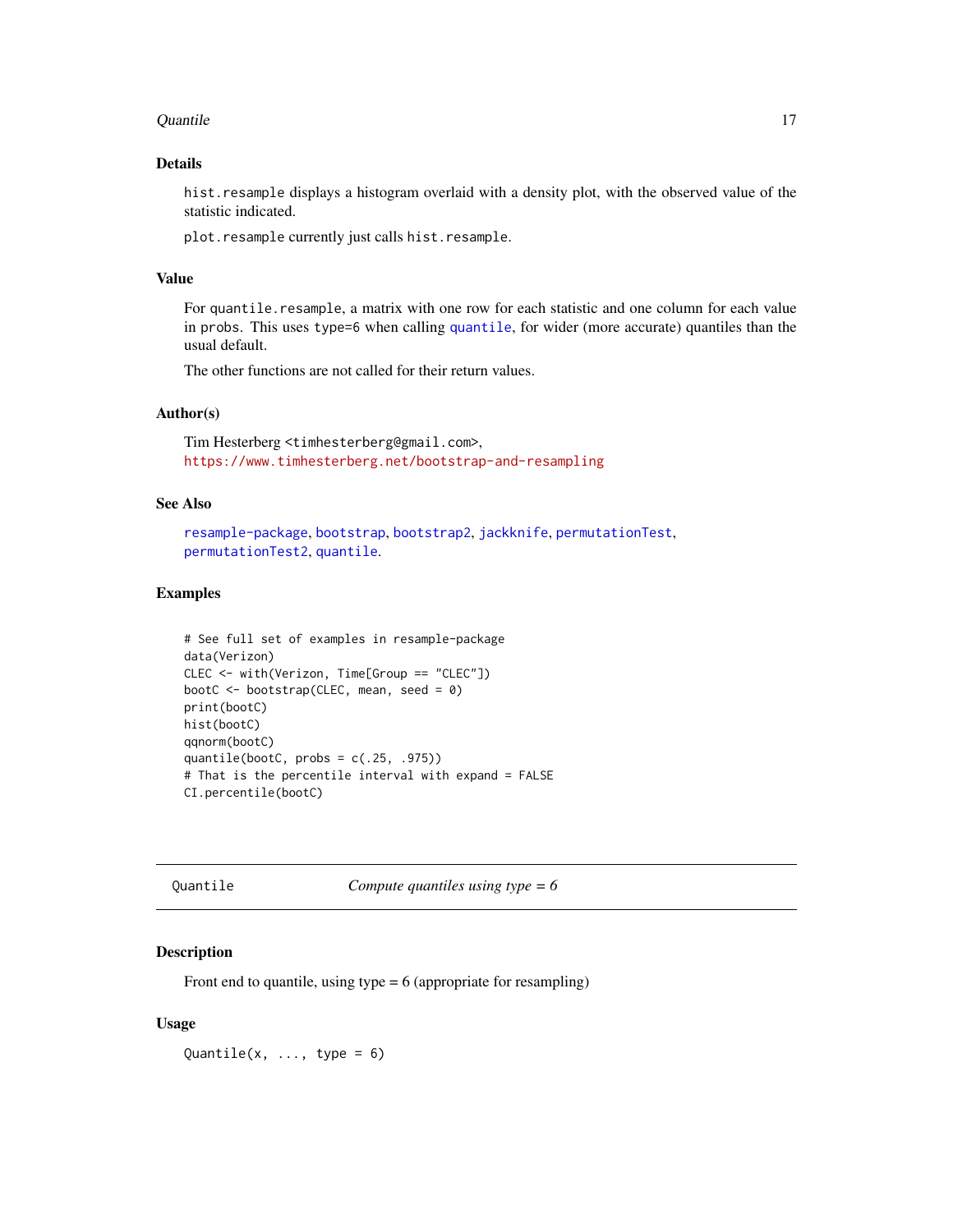#### <span id="page-16-0"></span>Quantile 17

#### Details

hist. resample displays a histogram overlaid with a density plot, with the observed value of the statistic indicated.

plot.resample currently just calls hist.resample.

#### Value

For quantile.resample, a matrix with one row for each statistic and one column for each value in probs. This uses type=6 when calling [quantile](#page-0-0), for wider (more accurate) quantiles than the usual default.

The other functions are not called for their return values.

#### Author(s)

Tim Hesterberg <timhesterberg@gmail.com>, <https://www.timhesterberg.net/bootstrap-and-resampling>

#### See Also

```
resample-package, bootstrap, bootstrap2, jackknife, permutationTest,
permutationTest2, quantile.
```
#### Examples

```
# See full set of examples in resample-package
data(Verizon)
CLEC <- with(Verizon, Time[Group == "CLEC"])
bootC <- bootstrap(CLEC, mean, seed = 0)
print(bootC)
hist(bootC)
qqnorm(bootC)
quantile(bootC, probs = c(.25, .975))# That is the percentile interval with expand = FALSE
CI.percentile(bootC)
```
Quantile *Compute quantiles using type = 6*

#### Description

Front end to quantile, using type  $= 6$  (appropriate for resampling)

#### Usage

Quantile(x,  $\dots$ , type = 6)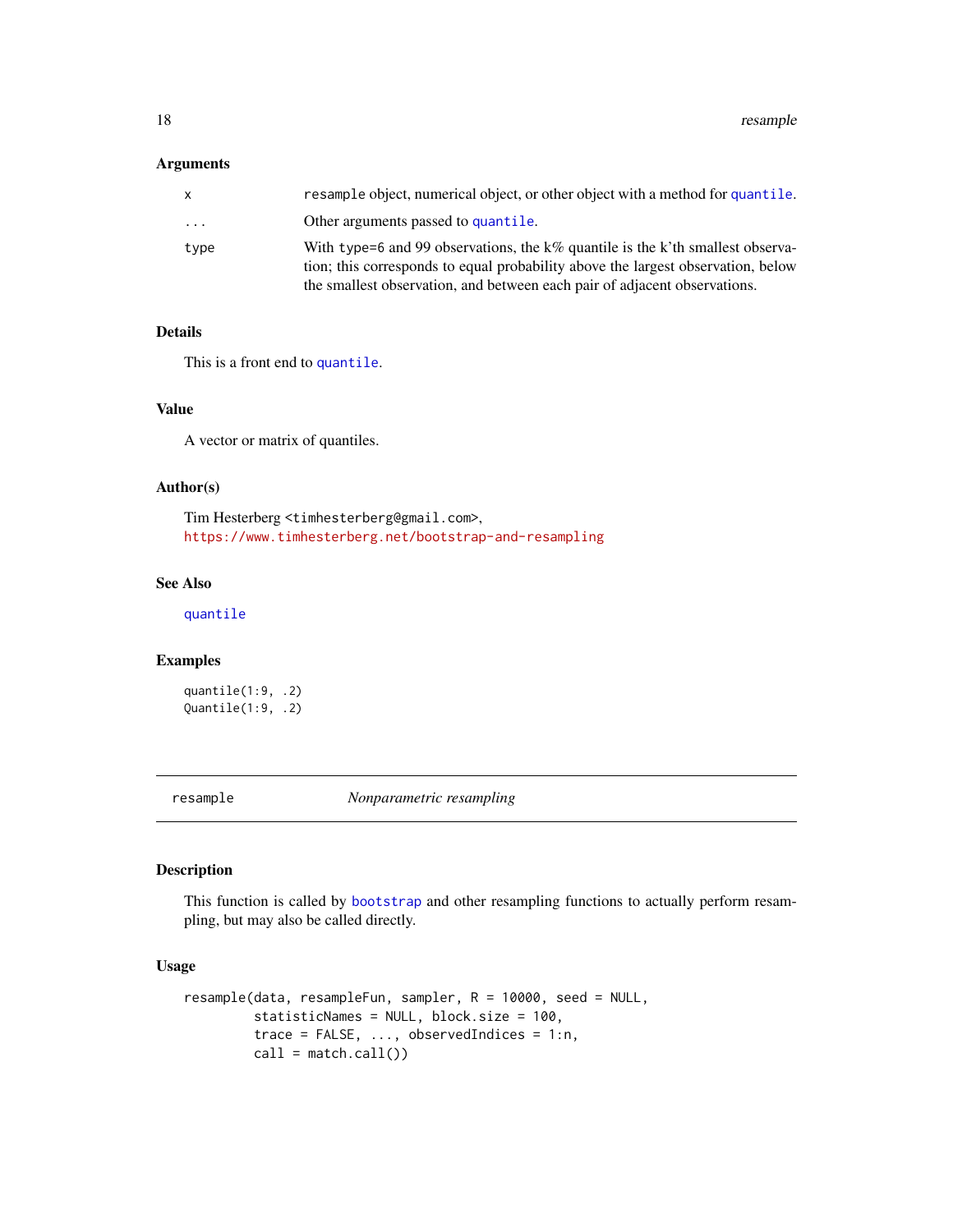<span id="page-17-0"></span>18 resample

#### Arguments

| x        | resample object, numerical object, or other object with a method for quantile.                                                                                                                                                                  |
|----------|-------------------------------------------------------------------------------------------------------------------------------------------------------------------------------------------------------------------------------------------------|
| $\ddots$ | Other arguments passed to quantile.                                                                                                                                                                                                             |
| type     | With type=6 and 99 observations, the k% quantile is the k'th smallest observa-<br>tion; this corresponds to equal probability above the largest observation, below<br>the smallest observation, and between each pair of adjacent observations. |

#### Details

This is a front end to [quantile](#page-0-0).

#### Value

A vector or matrix of quantiles.

#### Author(s)

Tim Hesterberg <timhesterberg@gmail.com>, <https://www.timhesterberg.net/bootstrap-and-resampling>

#### See Also

[quantile](#page-0-0)

#### Examples

quantile(1:9, .2) Quantile(1:9, .2)

<span id="page-17-1"></span>resample *Nonparametric resampling*

#### Description

This function is called by [bootstrap](#page-4-1) and other resampling functions to actually perform resampling, but may also be called directly.

#### Usage

```
resample(data, resampleFun, sampler, R = 10000, seed = NULL,
        statisticNames = NULL, block.size = 100,
        trace = FALSE, ..., observedIndices = 1:n,
        call = match.call()
```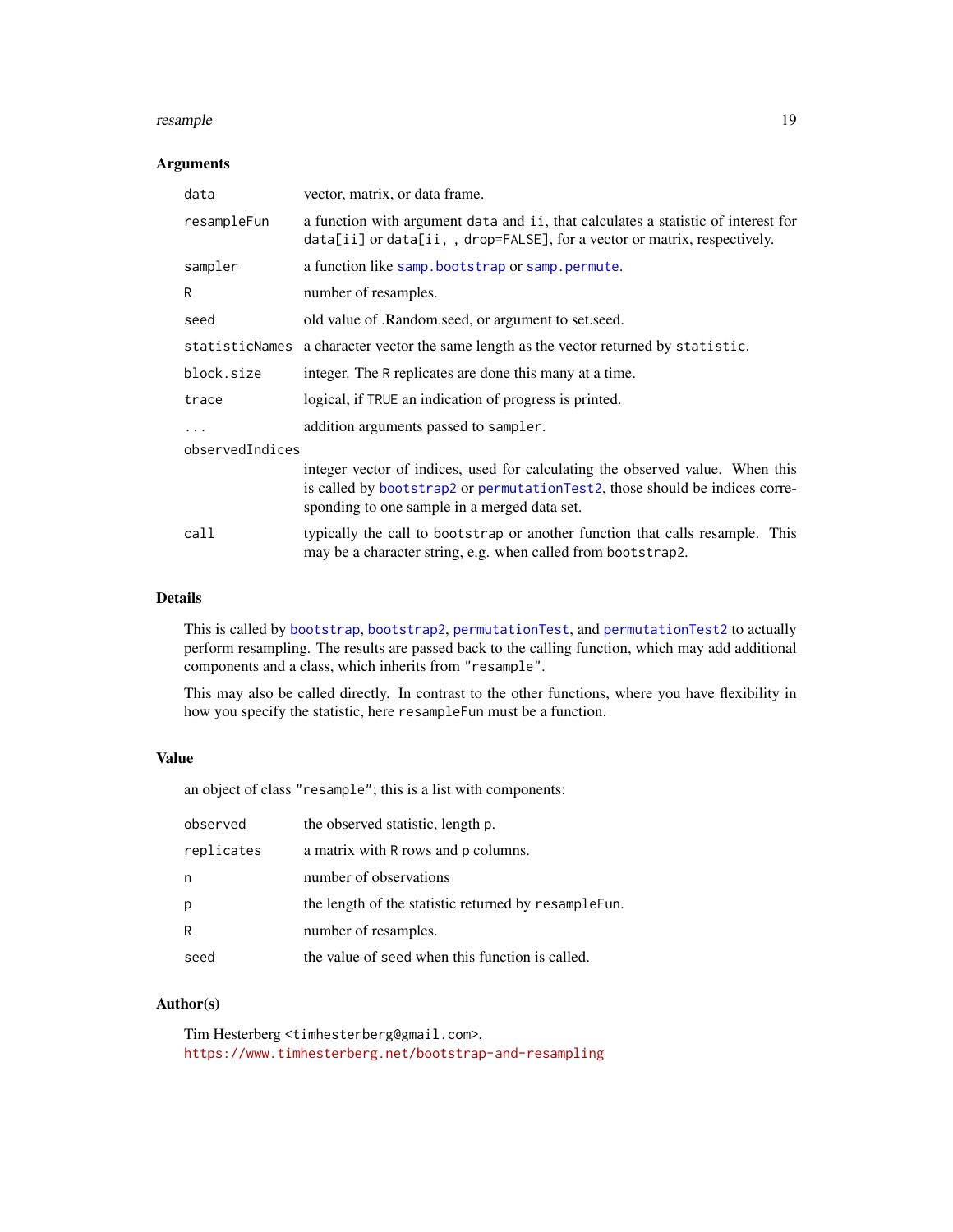#### <span id="page-18-0"></span>resample that the contract of the contract of the contract of the contract of the contract of the contract of the contract of the contract of the contract of the contract of the contract of the contract of the contract of

#### Arguments

| data            | vector, matrix, or data frame.                                                                                                                                                                               |  |
|-----------------|--------------------------------------------------------------------------------------------------------------------------------------------------------------------------------------------------------------|--|
| resampleFun     | a function with argument data and ii, that calculates a statistic of interest for<br>data[ii] or data[ii,, drop=FALSE], for a vector or matrix, respectively.                                                |  |
| sampler         | a function like samp.bootstrap or samp.permute.                                                                                                                                                              |  |
| R               | number of resamples.                                                                                                                                                                                         |  |
| seed            | old value of .Random.seed, or argument to set.seed.                                                                                                                                                          |  |
|                 | statisticNames a character vector the same length as the vector returned by statistic.                                                                                                                       |  |
| block.size      | integer. The R replicates are done this many at a time.                                                                                                                                                      |  |
| trace           | logical, if TRUE an indication of progress is printed.                                                                                                                                                       |  |
| $\ddots$ .      | addition arguments passed to sampler.                                                                                                                                                                        |  |
| observedIndices |                                                                                                                                                                                                              |  |
|                 | integer vector of indices, used for calculating the observed value. When this<br>is called by bootstrap2 or permutationTest2, those should be indices corre-<br>sponding to one sample in a merged data set. |  |
| call            | typically the call to bootstrap or another function that calls resample. This<br>may be a character string, e.g. when called from bootstrap2.                                                                |  |

#### Details

This is called by [bootstrap](#page-4-1), [bootstrap2](#page-4-2), [permutationTest](#page-4-2), and [permutationTest2](#page-4-2) to actually perform resampling. The results are passed back to the calling function, which may add additional components and a class, which inherits from "resample".

This may also be called directly. In contrast to the other functions, where you have flexibility in how you specify the statistic, here resampleFun must be a function.

#### Value

an object of class "resample"; this is a list with components:

| observed   | the observed statistic, length p.                    |
|------------|------------------------------------------------------|
| replicates | a matrix with R rows and p columns.                  |
| n          | number of observations                               |
| p          | the length of the statistic returned by resampleFun. |
| R          | number of resamples.                                 |
| seed       | the value of seed when this function is called.      |

#### Author(s)

Tim Hesterberg <timhesterberg@gmail.com>, <https://www.timhesterberg.net/bootstrap-and-resampling>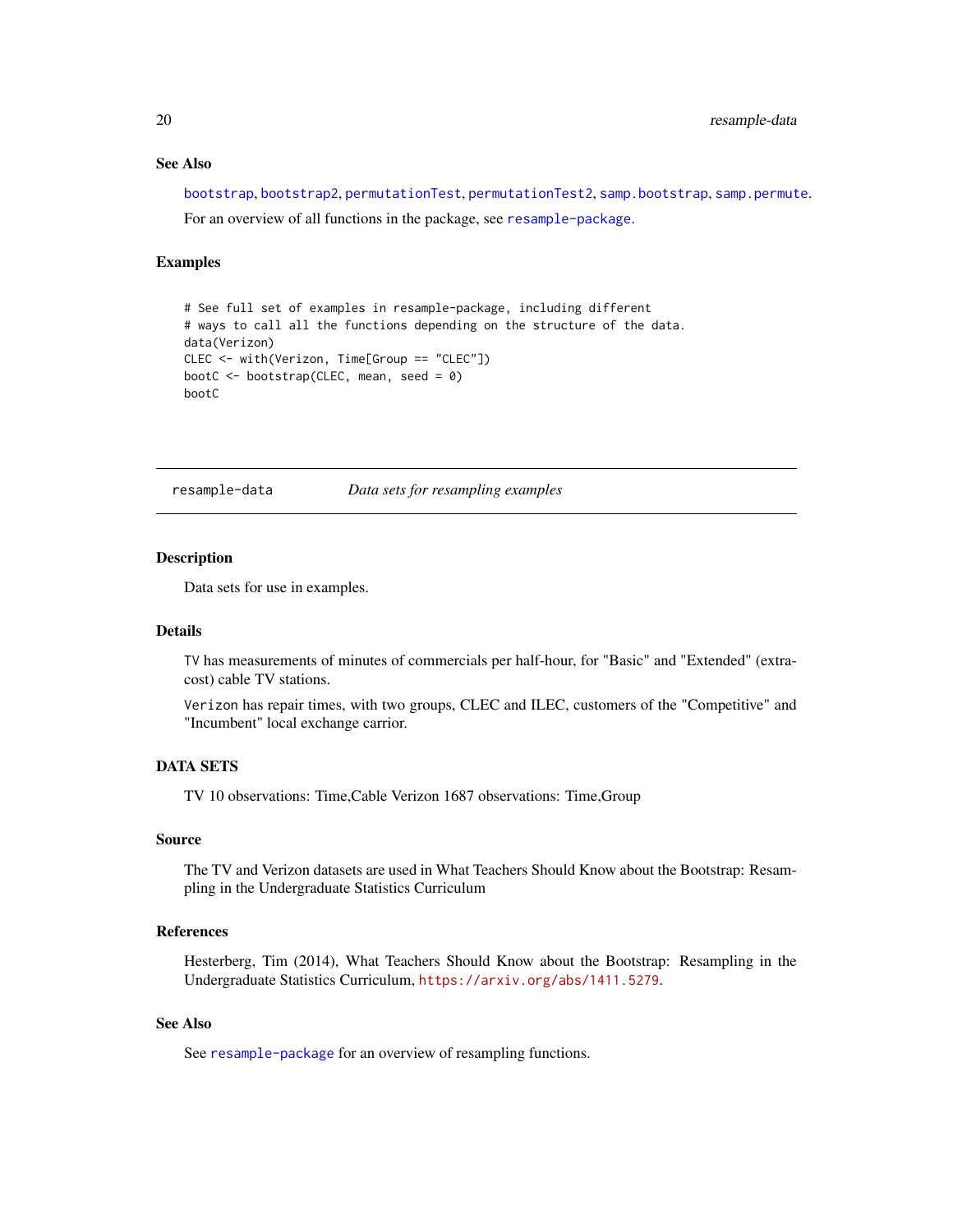#### See Also

[bootstrap](#page-4-1), [bootstrap2](#page-4-2), [permutationTest](#page-4-2), [permutationTest2](#page-4-2), [samp.bootstrap](#page-20-1), [samp.permute](#page-20-2). For an overview of all functions in the package, see [resample-package](#page-1-1).

#### Examples

```
# See full set of examples in resample-package, including different
# ways to call all the functions depending on the structure of the data.
data(Verizon)
CLEC <- with(Verizon, Time[Group == "CLEC"])
bootC <- bootstrap(CLEC, mean, seed = 0)
bootC
```
<span id="page-19-1"></span>resample-data *Data sets for resampling examples*

#### **Description**

Data sets for use in examples.

#### Details

TV has measurements of minutes of commercials per half-hour, for "Basic" and "Extended" (extracost) cable TV stations.

Verizon has repair times, with two groups, CLEC and ILEC, customers of the "Competitive" and "Incumbent" local exchange carrior.

#### DATA SETS

TV 10 observations: Time,Cable Verizon 1687 observations: Time,Group

#### Source

The TV and Verizon datasets are used in What Teachers Should Know about the Bootstrap: Resampling in the Undergraduate Statistics Curriculum

#### References

Hesterberg, Tim (2014), What Teachers Should Know about the Bootstrap: Resampling in the Undergraduate Statistics Curriculum, <https://arxiv.org/abs/1411.5279>.

#### See Also

See [resample-package](#page-1-1) for an overview of resampling functions.

<span id="page-19-0"></span>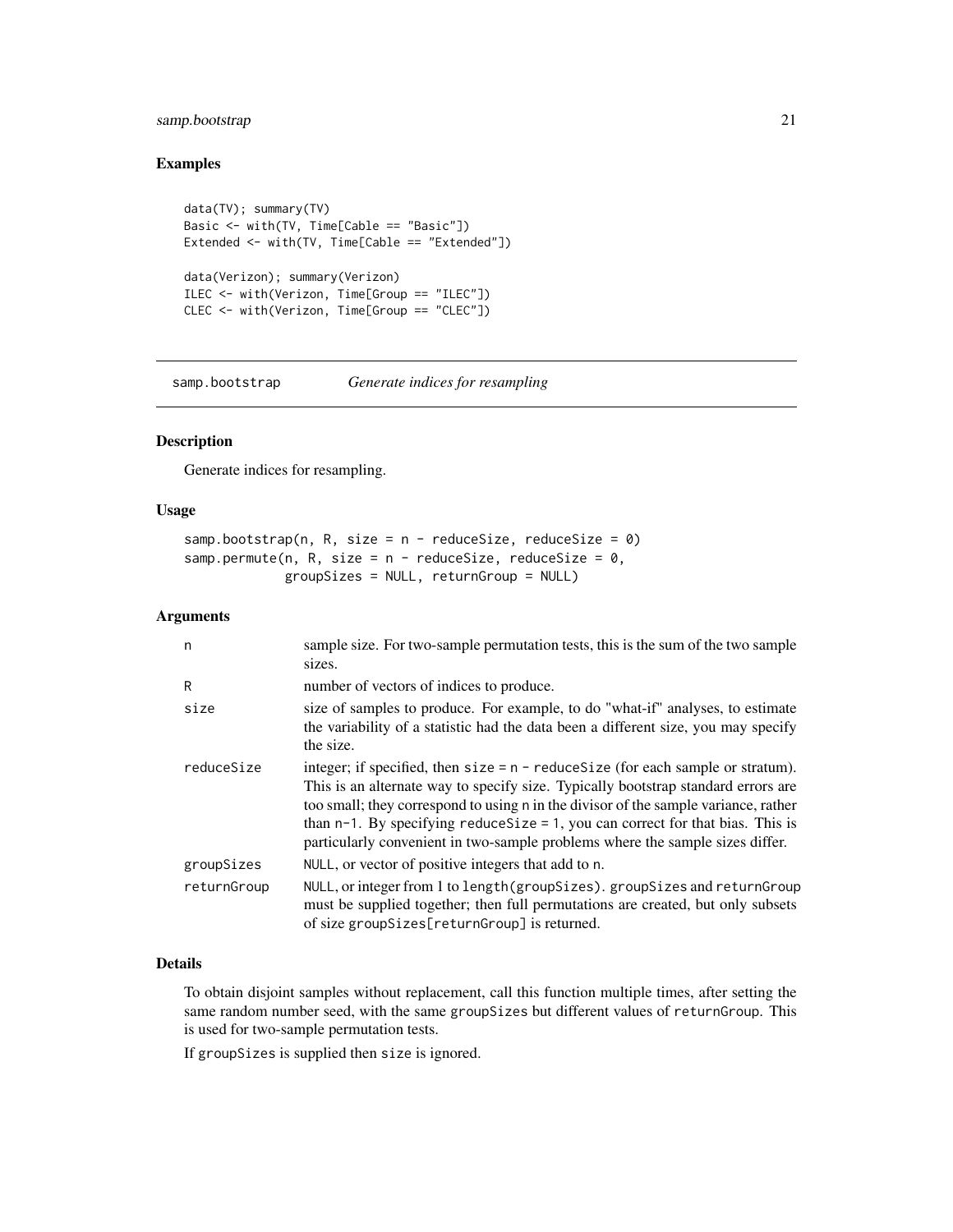#### <span id="page-20-0"></span>samp.bootstrap 21

#### Examples

```
data(TV); summary(TV)
Basic <- with(TV, Time[Cable == "Basic"])
Extended <- with(TV, Time[Cable == "Extended"])
data(Verizon); summary(Verizon)
ILEC <- with(Verizon, Time[Group == "ILEC"])
CLEC <- with(Verizon, Time[Group == "CLEC"])
```
<span id="page-20-1"></span>samp.bootstrap *Generate indices for resampling*

#### <span id="page-20-2"></span>Description

Generate indices for resampling.

#### Usage

```
samp.bootstrap(n, R, size = n - reduceSize, reduceSize = 0)
samp.permute(n, R, size = n - reduceSize, reduceSize = 0,
            groupSizes = NULL, returnGroup = NULL)
```
#### Arguments

| n           | sample size. For two-sample permutation tests, this is the sum of the two sample                                                                                                                                                                                                                                                                                                                                                     |
|-------------|--------------------------------------------------------------------------------------------------------------------------------------------------------------------------------------------------------------------------------------------------------------------------------------------------------------------------------------------------------------------------------------------------------------------------------------|
|             | sizes.                                                                                                                                                                                                                                                                                                                                                                                                                               |
| R           | number of vectors of indices to produce.                                                                                                                                                                                                                                                                                                                                                                                             |
| size        | size of samples to produce. For example, to do "what-if" analyses, to estimate<br>the variability of a statistic had the data been a different size, you may specify<br>the size.                                                                                                                                                                                                                                                    |
| reduceSize  | integer; if specified, then $size = n - reduceSize$ (for each sample or stratum).<br>This is an alternate way to specify size. Typically bootstrap standard errors are<br>too small; they correspond to using n in the divisor of the sample variance, rather<br>than $n-1$ . By specifying reduce Size = 1, you can correct for that bias. This is<br>particularly convenient in two-sample problems where the sample sizes differ. |
| groupSizes  | NULL, or vector of positive integers that add to n.                                                                                                                                                                                                                                                                                                                                                                                  |
| returnGroup | NULL, or integer from 1 to length (group Sizes). group Sizes and return Group<br>must be supplied together; then full permutations are created, but only subsets<br>of size groupSizes[returnGroup] is returned.                                                                                                                                                                                                                     |

#### Details

To obtain disjoint samples without replacement, call this function multiple times, after setting the same random number seed, with the same groupSizes but different values of returnGroup. This is used for two-sample permutation tests.

If groupSizes is supplied then size is ignored.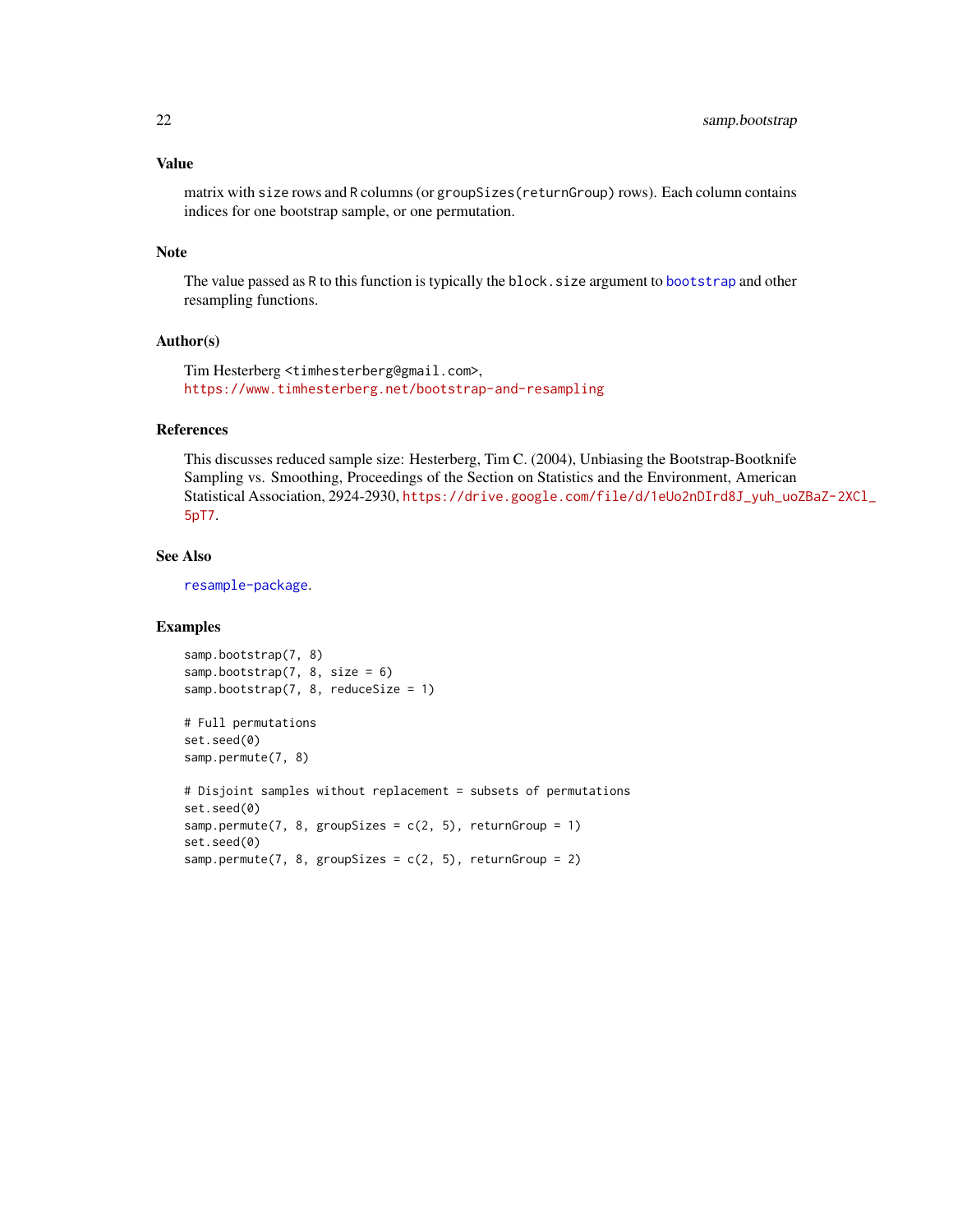#### <span id="page-21-0"></span>Value

matrix with size rows and R columns (or groupSizes(returnGroup) rows). Each column contains indices for one bootstrap sample, or one permutation.

#### Note

The value passed as R to this function is typically the block.size argument to [bootstrap](#page-4-1) and other resampling functions.

#### Author(s)

Tim Hesterberg <timhesterberg@gmail.com>, <https://www.timhesterberg.net/bootstrap-and-resampling>

#### References

This discusses reduced sample size: Hesterberg, Tim C. (2004), Unbiasing the Bootstrap-Bootknife Sampling vs. Smoothing, Proceedings of the Section on Statistics and the Environment, American Statistical Association, 2924-2930, [https://drive.google.com/file/d/1eUo2nDIrd8J\\_yuh\\_uoZ](https://drive.google.com/file/d/1eUo2nDIrd8J_yuh_uoZBaZ-2XCl_5pT7)BaZ-2XCl\_ [5pT7](https://drive.google.com/file/d/1eUo2nDIrd8J_yuh_uoZBaZ-2XCl_5pT7).

#### See Also

[resample-package](#page-1-1).

#### Examples

```
samp.bootstrap(7, 8)
samp.bootstrap(7, 8, size = 6)
samp.bootstrap(7, 8, reduceSize = 1)
```
# Full permutations set.seed(0) samp.permute(7, 8)

```
# Disjoint samples without replacement = subsets of permutations
set.seed(0)
samp.permute(7, 8, groupSizes = c(2, 5), returnGroup = 1)
set.seed(0)
samp.permute(7, 8, groupSizes = c(2, 5), returnGroup = 2)
```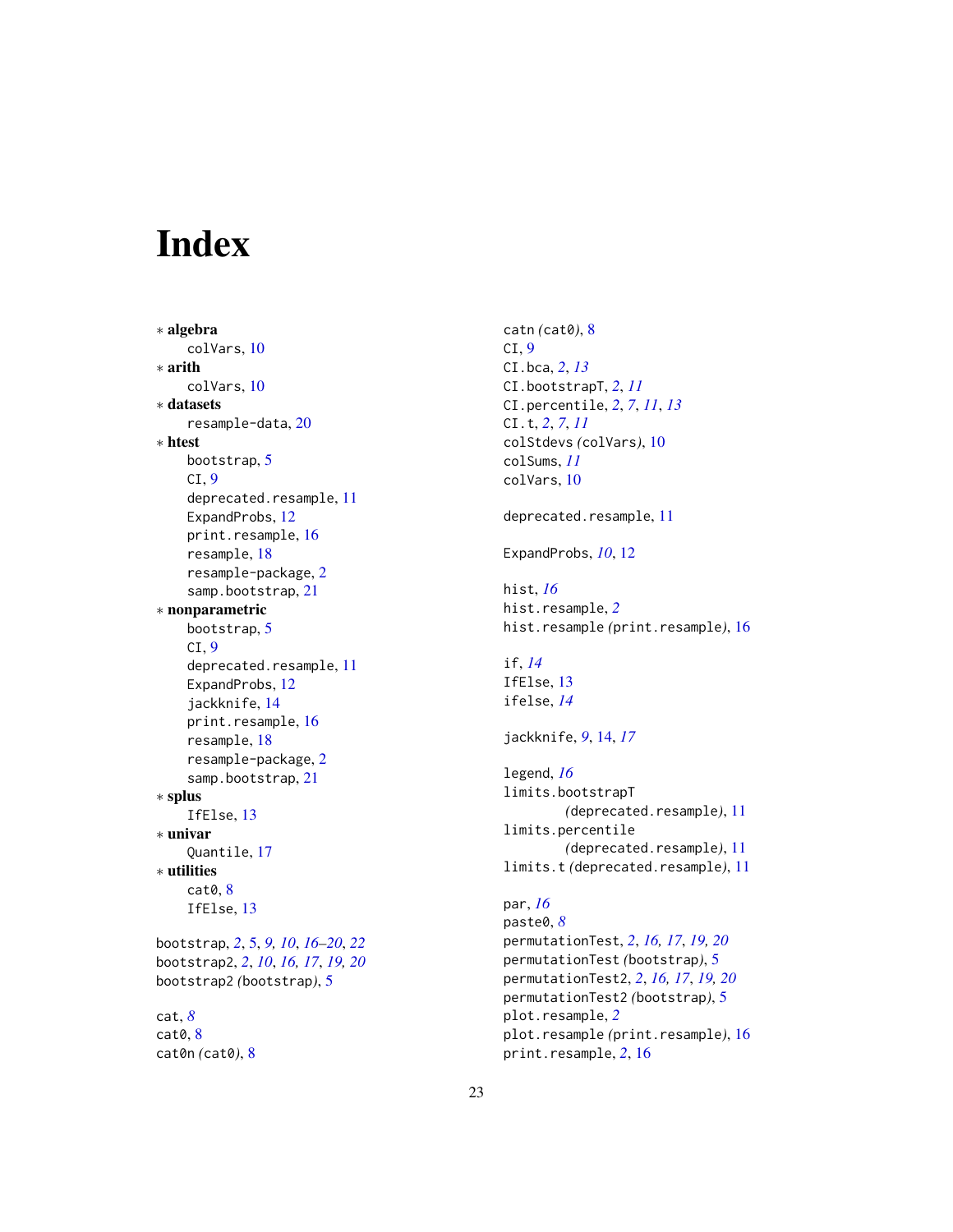# <span id="page-22-0"></span>Index

∗ algebra colVars, [10](#page-9-0) ∗ arith colVars, [10](#page-9-0) ∗ datasets resample-data, [20](#page-19-0) ∗ htest bootstrap, [5](#page-4-0)  $CI, 9$  $CI, 9$ deprecated.resample, [11](#page-10-0) ExpandProbs, [12](#page-11-0) print.resample, [16](#page-15-0) resample, [18](#page-17-0) resample-package, [2](#page-1-0) samp.bootstrap, [21](#page-20-0) ∗ nonparametric bootstrap, [5](#page-4-0)  $CI, 9$  $CI, 9$ deprecated.resample, [11](#page-10-0) ExpandProbs, [12](#page-11-0) jackknife, [14](#page-13-0) print.resample, [16](#page-15-0) resample, [18](#page-17-0) resample-package, [2](#page-1-0) samp.bootstrap, [21](#page-20-0) ∗ splus IfElse, [13](#page-12-0) ∗ univar Quantile, [17](#page-16-0) ∗ utilities cat0, [8](#page-7-0) IfElse, [13](#page-12-0) bootstrap, *[2](#page-1-0)*, [5,](#page-4-0) *[9,](#page-8-0) [10](#page-9-0)*, *[16–](#page-15-0)[20](#page-19-0)*, *[22](#page-21-0)* bootstrap2, *[2](#page-1-0)*, *[10](#page-9-0)*, *[16,](#page-15-0) [17](#page-16-0)*, *[19,](#page-18-0) [20](#page-19-0)* bootstrap2 *(*bootstrap*)*, [5](#page-4-0) cat, *[8](#page-7-0)* cat0, [8](#page-7-0) cat0n *(*cat0*)*, [8](#page-7-0)

catn *(*cat0*)*, [8](#page-7-0)  $CI, 9$  $CI, 9$ CI.bca, *[2](#page-1-0)*, *[13](#page-12-0)* CI.bootstrapT, *[2](#page-1-0)*, *[11](#page-10-0)* CI.percentile, *[2](#page-1-0)*, *[7](#page-6-0)*, *[11](#page-10-0)*, *[13](#page-12-0)* CI.t, *[2](#page-1-0)*, *[7](#page-6-0)*, *[11](#page-10-0)* colStdevs *(*colVars*)*, [10](#page-9-0) colSums, *[11](#page-10-0)* colVars, [10](#page-9-0) deprecated.resample, [11](#page-10-0) ExpandProbs, *[10](#page-9-0)*, [12](#page-11-0) hist, *[16](#page-15-0)* hist.resample, *[2](#page-1-0)* hist.resample *(*print.resample*)*, [16](#page-15-0) if, *[14](#page-13-0)* IfElse, [13](#page-12-0) ifelse, *[14](#page-13-0)* jackknife, *[9](#page-8-0)*, [14,](#page-13-0) *[17](#page-16-0)* legend, *[16](#page-15-0)* limits.bootstrapT *(*deprecated.resample*)*, [11](#page-10-0) limits.percentile *(*deprecated.resample*)*, [11](#page-10-0) limits.t *(*deprecated.resample*)*, [11](#page-10-0) par, *[16](#page-15-0)* paste0, *[8](#page-7-0)* permutationTest, *[2](#page-1-0)*, *[16,](#page-15-0) [17](#page-16-0)*, *[19,](#page-18-0) [20](#page-19-0)* permutationTest *(*bootstrap*)*, [5](#page-4-0) permutationTest2, *[2](#page-1-0)*, *[16,](#page-15-0) [17](#page-16-0)*, *[19,](#page-18-0) [20](#page-19-0)* permutationTest2 *(*bootstrap*)*, [5](#page-4-0) plot.resample, *[2](#page-1-0)* plot.resample *(*print.resample*)*, [16](#page-15-0) print.resample, *[2](#page-1-0)*, [16](#page-15-0)